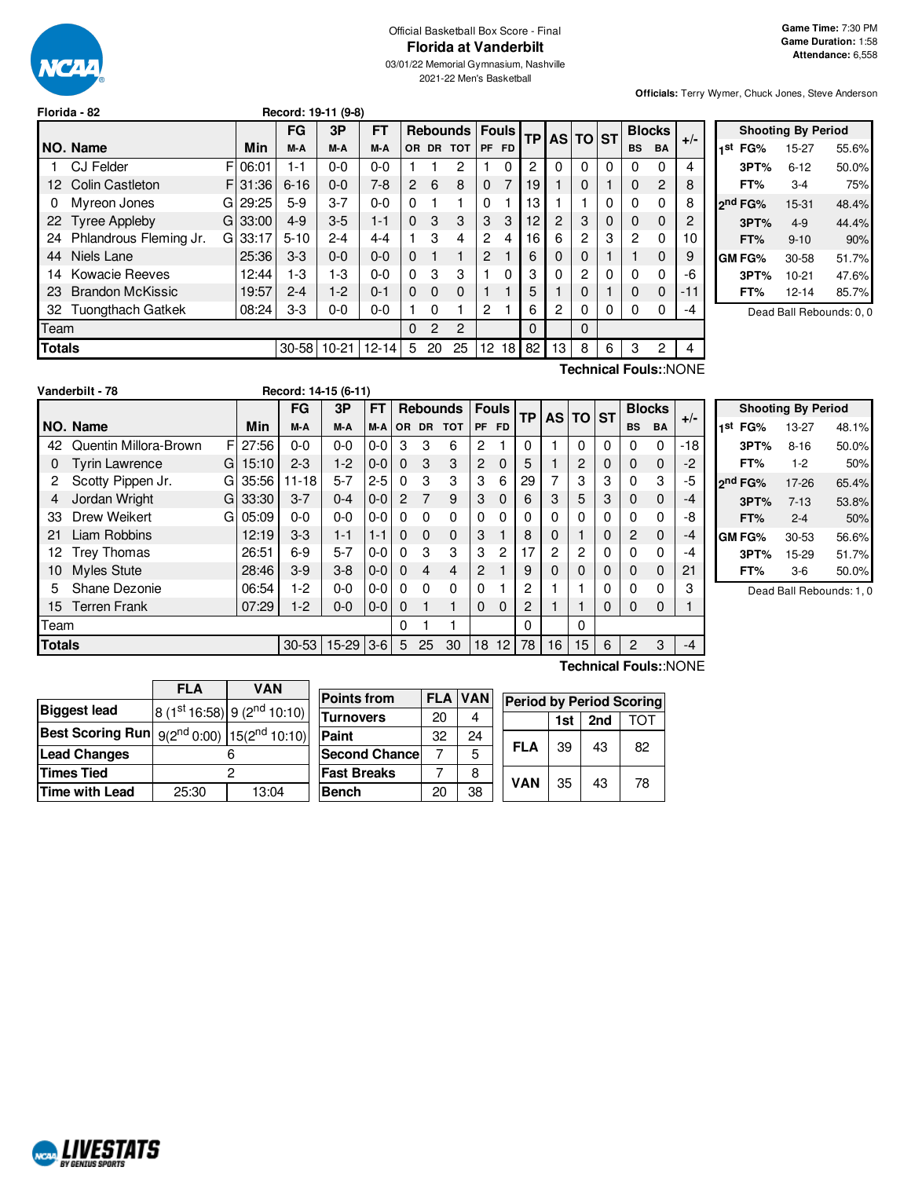

# Official Basketball Box Score - Final **Florida at Vanderbilt**

03/01/22 Memorial Gymnasium, Nashville 2021-22 Men's Basketball

**Officials:** Terry Wymer, Chuck Jones, Steve Anderson

|               | Florida - 82             |    |            |          | Record: 19-11 (9-8) |           |                |                |                 |                |              |           |          |          |   |           |               |       |
|---------------|--------------------------|----|------------|----------|---------------------|-----------|----------------|----------------|-----------------|----------------|--------------|-----------|----------|----------|---|-----------|---------------|-------|
|               |                          |    |            | FG       | 3P                  | <b>FT</b> |                |                | <b>Rebounds</b> |                | <b>Fouls</b> | <b>TP</b> | AS TO ST |          |   |           | <b>Blocks</b> | $+/-$ |
|               | NO. Name                 |    | <b>Min</b> | M-A      | M-A                 | M-A       | OR.            | <b>DR</b>      | <b>TOT</b>      | <b>PF</b>      | <b>FD</b>    |           |          |          |   | <b>BS</b> | <b>BA</b>     |       |
|               | <b>CJ Felder</b>         | F  | 06:01      | $1 - 1$  | $0 - 0$             | $0-0$     |                |                | 2               |                | $\Omega$     | 2         | 0        | $\Omega$ | 0 | 0         | 0             | 4     |
| 12            | <b>Colin Castleton</b>   |    | F 31:36    | $6 - 16$ | $0 - 0$             | $7-8$     | $\overline{2}$ | 6              | 8               | $\Omega$       | 7            | 19        |          | $\Omega$ |   | 0         | 2             | 8     |
| 0             | Myreon Jones             | Gl | 29:25      | $5-9$    | $3 - 7$             | $0 - 0$   | $\Omega$       |                | 1               | 0              |              | 13        |          |          | 0 | $\Omega$  | $\Omega$      | 8     |
| 22            | <b>Tyree Appleby</b>     |    | $GI$ 33:00 | $4 - 9$  | $3-5$               | $1 - 1$   | $\Omega$       | 3              | 3               | 3              | 3            | 12        | 2        | 3        | 0 | 0         | $\Omega$      | 2     |
| 24            | Phlandrous Fleming Jr.   | GI | 33:17      | $5 - 10$ | 2-4                 | $4 - 4$   |                | 3              | 4               | 2              | 4            | 16        | 6        | 2        | 3 | 2         | 0             | 10    |
| 44            | Niels Lane               |    | 25:36      | $3-3$    | $0 - 0$             | $0-0$     | $\Omega$       |                |                 | $\overline{2}$ |              | 6         | 0        | $\Omega$ |   |           | 0             | 9     |
| 14            | Kowacie Reeves           |    | 12:44      | 1-3      | 1-3                 | $0-0$     | $\Omega$       | 3              | 3               |                | 0            | 3         | 0        | 2        | 0 | 0         | $\Omega$      | -6    |
| 23            | <b>Brandon McKissic</b>  |    | 19:57      | $2 - 4$  | $1-2$               | $0 - 1$   | $\Omega$       | $\Omega$       | 0               |                |              | 5         |          |          |   | $\Omega$  | $\Omega$      | $-11$ |
| 32            | <b>Tuongthach Gatkek</b> |    | 08:24      | $3-3$    | 0-0                 | $0-0$     |                | 0              |                 | $\overline{2}$ |              | 6         | 2        | 0        | 0 | 0         | O             | -4    |
| Team          |                          |    |            |          |                     |           | $\Omega$       | $\overline{2}$ | 2               |                |              | $\Omega$  |          | $\Omega$ |   |           |               |       |
| <b>Totals</b> |                          |    |            | 30-58    | $10-21$             | $12 - 14$ | 5              | 20             | 25              | 12             | 18           | 82        | 13       | 8        | 6 | 3         | 2             | 4     |

|     |                     | <b>Shooting By Period</b> |       |
|-----|---------------------|---------------------------|-------|
| 1st | FG%                 | 15-27                     | 55.6% |
|     | 3PT%                | $6 - 12$                  | 50.0% |
|     | FT%                 | $3-4$                     | 75%   |
|     | 2 <sup>nd</sup> FG% | 15-31                     | 48.4% |
|     | 3PT%                | $4 - 9$                   | 44.4% |
|     | FT%                 | $9 - 10$                  | 90%   |
|     | GM FG%              | 30-58                     | 51.7% |
|     | 3PT%                | $10 - 21$                 | 47.6% |
|     | FT%                 | $12 - 14$                 | 85.7% |
|     |                     |                           |       |

Dead Ball Rebounds: 0, 0

**Vanderbilt - 78 Record: 14-15 (6-11)**

**Technical Fouls:**:NONE

|               | validerbilt - 70      |   |       | <b>RECORD: 14-13 (0-11)</b> |         |           |                |          |                 |                |                 |          |    |              |           |           |               |       |
|---------------|-----------------------|---|-------|-----------------------------|---------|-----------|----------------|----------|-----------------|----------------|-----------------|----------|----|--------------|-----------|-----------|---------------|-------|
|               |                       |   |       | <b>FG</b>                   | 3P      | <b>FT</b> |                |          | <b>Rebounds</b> | <b>Fouls</b>   |                 | TP       |    | AS TO        | <b>ST</b> |           | <b>Blocks</b> | $+/-$ |
|               | NO. Name              |   | Min   | M-A                         | M-A     | M-A       |                | OR DR    | <b>TOT</b>      | <b>PF</b>      | <b>FD</b>       |          |    |              |           | <b>BS</b> | <b>BA</b>     |       |
| 42            | Quentin Millora-Brown | F | 27:56 | $0 - 0$                     | $0 - 0$ | $0-0$     | 3              | 3        | 6               | 2              |                 | $\Omega$ |    | $\Omega$     | 0         | 0         | $\Omega$      | $-18$ |
| 0             | <b>Tyrin Lawrence</b> | G | 15:10 | $2 - 3$                     | $1-2$   | $0-0$     | $\Omega$       | 3        | 3               | 2              | $\mathbf 0$     | 5        |    | 2            | 0         | 0         | 0             | $-2$  |
| 2             | Scotty Pippen Jr.     | G | 35:56 | $11 - 18$                   | $5 - 7$ | $2 - 5$   | $\Omega$       | 3        | 3               | 3              | 6               | 29       | 7  | 3            | 3         | 0         | 3             | -5    |
| 4             | Jordan Wright         | G | 33:30 | $3 - 7$                     | $0 - 4$ | $0-0$     | $\overline{2}$ | 7        | 9               | 3              | $\mathbf 0$     | 6        | 3  | 5            | 3         | 0         | $\Omega$      | -4    |
| 33            | Drew Weikert          | G | 05:09 | $0 - 0$                     | $0 - 0$ | $0-0$     | $\Omega$       | $\Omega$ | 0               | 0              | 0               | $\Omega$ | 0  | $\Omega$     | 0         | 0         | 0             | -8    |
| 21            | Liam Robbins          |   | 12:19 | $3-3$                       | $1 - 1$ | $1 - 1$   | $\Omega$       | $\Omega$ | $\mathbf 0$     | 3              |                 | 8        | 0  |              | $\Omega$  | 2         | 0             | -4    |
| 12.           | Trey Thomas           |   | 26:51 | $6-9$                       | $5 - 7$ | $0 - 0$   | $\Omega$       | 3        | 3               | 3              | 2               | 17       | 2  | 2            | 0         | 0         | $\Omega$      | -4    |
| 10            | <b>Myles Stute</b>    |   | 28:46 | $3-9$                       | $3 - 8$ | $0-0$     | $\Omega$       | 4        | 4               | $\overline{2}$ |                 | 9        | 0  | $\mathbf{0}$ | 0         | 0         | 0             | 21    |
| 5             | Shane Dezonie         |   | 06:54 | $1-2$                       | $0 - 0$ | $0-0$     | $\Omega$       | 0        | $\Omega$        | 0              |                 | 2        |    |              | 0         | 0         | ŋ             | 3     |
| 15            | <b>Terren Frank</b>   |   | 07:29 | $1-2$                       | $0 - 0$ | $0-0$     | $\Omega$       |          | 1               | 0              | $\mathbf 0$     | 2        |    |              | 0         | 0         | 0             |       |
| Team          |                       |   |       |                             |         |           | $\Omega$       |          | 1               |                |                 | 0        |    | 0            |           |           |               |       |
| <b>Totals</b> |                       |   |       | $30 - 53$                   | $15-29$ | $ 3-6 $   | 5              | 25       | 30              | 18             | 12 <sub>1</sub> | 78       | 16 | 15           | 6         | 2         | 3             | -4    |
|               |                       |   |       |                             |         |           |                |          |                 |                |                 |          |    |              |           |           |               |       |

|     |                     | <b>Shooting By Period</b> |       |
|-----|---------------------|---------------------------|-------|
| 1st | FG%                 | 13-27                     | 48.1% |
|     | 3PT%                | $8 - 16$                  | 50.0% |
|     | FT%                 | $1-2$                     | 50%   |
|     | 2 <sup>nd</sup> FG% | 17-26                     | 65.4% |
|     | 3PT%                | $7 - 13$                  | 53.8% |
|     | FT%                 | $2 - 4$                   | 50%   |
|     | GM FG%              | $30 - 53$                 | 56.6% |
|     | 3PT%                | 15-29                     | 51.7% |
|     | FT%                 | 3-6                       | 50.0% |

Dead Ball Rebounds: 1, 0

|                                                             | <b>FLA</b>     | <b>VAN</b>                  |  |  |  |  |  |
|-------------------------------------------------------------|----------------|-----------------------------|--|--|--|--|--|
| <b>Biggest lead</b>                                         |                | 8 (1st 16:58) 9 (2nd 10:10) |  |  |  |  |  |
| <b>Best Scoring Run</b> $9(2^{nd} 0:00)$ $15(2^{nd} 10:10)$ |                |                             |  |  |  |  |  |
| <b>Lead Changes</b>                                         |                |                             |  |  |  |  |  |
| <b>Times Tied</b>                                           |                | 2                           |  |  |  |  |  |
| <b>Time with Lead</b>                                       | 13:04<br>25:30 |                             |  |  |  |  |  |

| <b>Points from</b>    | <b>FLA</b> | <b>VAN</b> | <b>Period by Period Scoring</b> |     |     |     |
|-----------------------|------------|------------|---------------------------------|-----|-----|-----|
| <b>Turnovers</b>      | 20         | 4          |                                 | 1st | 2nd | ТОТ |
| Paint                 | 32         | 24         |                                 |     |     |     |
| <b>Second Chancel</b> |            | 5          | <b>FLA</b>                      | 39  | 43  | 82  |
| <b>Fast Breaks</b>    |            | 8          | <b>VAN</b>                      | 35  | 43  | 78  |
| <b>Bench</b>          | 20         | 38         |                                 |     |     |     |

**Technical Fouls:**:NONE

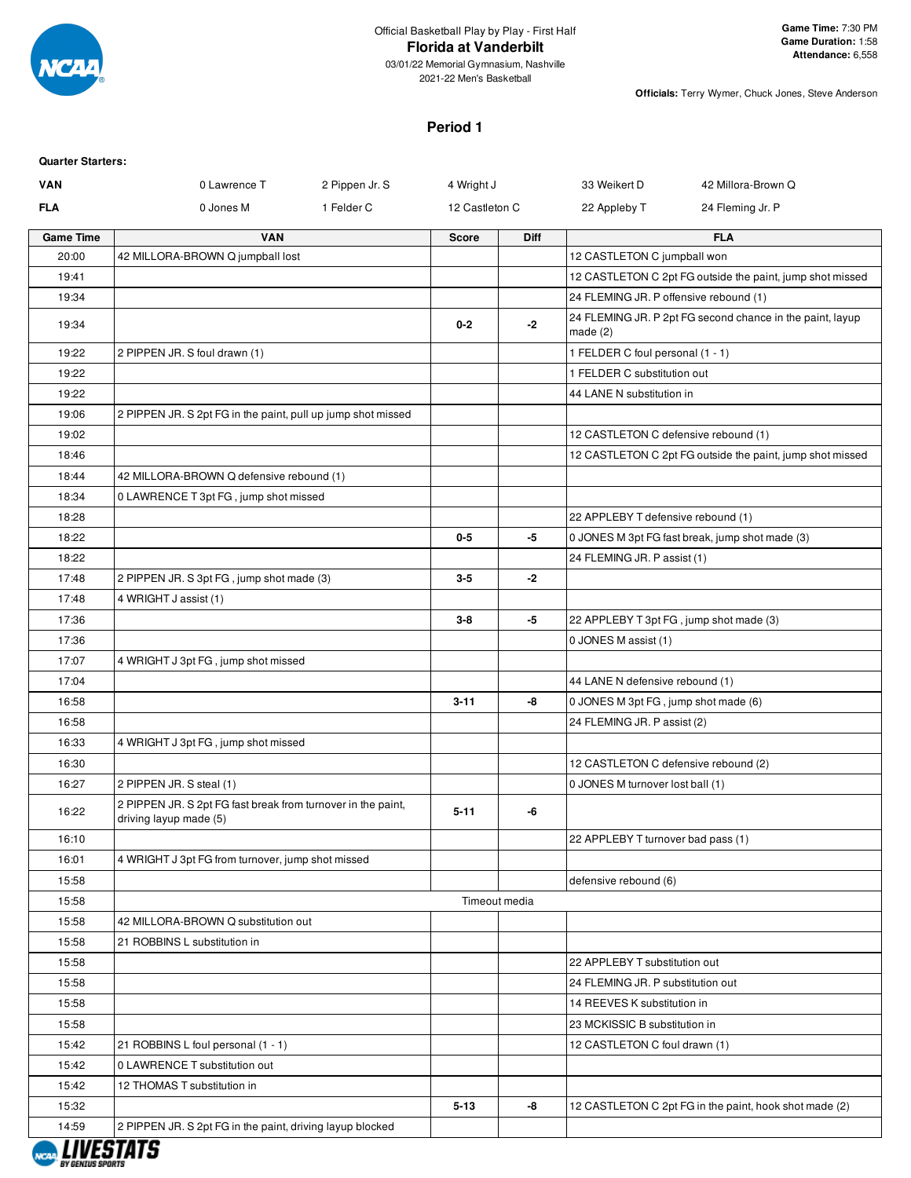

2021-22 Men's Basketball

**Officials:** Terry Wymer, Chuck Jones, Steve Anderson

# **Period 1**

#### **Quarter Starters:**

| <b>VAN</b>       | 0 Lawrence T<br>2 Pippen Jr. S                                                         | 4 Wright J     |             | 42 Millora-Brown Q<br>33 Weikert D                                      |
|------------------|----------------------------------------------------------------------------------------|----------------|-------------|-------------------------------------------------------------------------|
| <b>FLA</b>       | 1 Felder C<br>0 Jones M                                                                | 12 Castleton C |             | 22 Appleby T<br>24 Fleming Jr. P                                        |
| <b>Game Time</b> | <b>VAN</b>                                                                             | <b>Score</b>   | <b>Diff</b> | <b>FLA</b>                                                              |
| 20:00            | 42 MILLORA-BROWN Q jumpball lost                                                       |                |             | 12 CASTLETON C jumpball won                                             |
| 19:41            |                                                                                        |                |             | 12 CASTLETON C 2pt FG outside the paint, jump shot missed               |
| 19:34            |                                                                                        |                |             | 24 FLEMING JR. P offensive rebound (1)                                  |
| 19:34            |                                                                                        | $0 - 2$        | $-2$        | 24 FLEMING JR. P 2pt FG second chance in the paint, layup<br>made $(2)$ |
| 19:22            | 2 PIPPEN JR. S foul drawn (1)                                                          |                |             | 1 FELDER C foul personal (1 - 1)                                        |
| 19:22            |                                                                                        |                |             | 1 FELDER C substitution out                                             |
| 19:22            |                                                                                        |                |             | 44 LANE N substitution in                                               |
| 19:06            | 2 PIPPEN JR. S 2pt FG in the paint, pull up jump shot missed                           |                |             |                                                                         |
| 19:02            |                                                                                        |                |             | 12 CASTLETON C defensive rebound (1)                                    |
| 18:46            |                                                                                        |                |             | 12 CASTLETON C 2pt FG outside the paint, jump shot missed               |
| 18:44            | 42 MILLORA-BROWN Q defensive rebound (1)                                               |                |             |                                                                         |
| 18:34            | 0 LAWRENCE T 3pt FG, jump shot missed                                                  |                |             |                                                                         |
| 18:28            |                                                                                        |                |             | 22 APPLEBY T defensive rebound (1)                                      |
| 18:22            |                                                                                        | $0-5$          | -5          | 0 JONES M 3pt FG fast break, jump shot made (3)                         |
| 18:22            |                                                                                        |                |             | 24 FLEMING JR. P assist (1)                                             |
| 17:48            | 2 PIPPEN JR. S 3pt FG, jump shot made (3)                                              | $3-5$          | $-2$        |                                                                         |
| 17:48            | 4 WRIGHT J assist (1)                                                                  |                |             |                                                                         |
| 17:36            |                                                                                        | $3-8$          | -5          | 22 APPLEBY T 3pt FG, jump shot made (3)                                 |
| 17:36            |                                                                                        |                |             | 0 JONES M assist (1)                                                    |
| 17:07            | 4 WRIGHT J 3pt FG, jump shot missed                                                    |                |             |                                                                         |
| 17:04            |                                                                                        |                |             | 44 LANE N defensive rebound (1)                                         |
| 16:58            |                                                                                        | $3 - 11$       | -8          | 0 JONES M 3pt FG, jump shot made (6)                                    |
| 16:58            |                                                                                        |                |             | 24 FLEMING JR. P assist (2)                                             |
|                  |                                                                                        |                |             |                                                                         |
| 16:33            | 4 WRIGHT J 3pt FG, jump shot missed                                                    |                |             |                                                                         |
| 16:30            |                                                                                        |                |             | 12 CASTLETON C defensive rebound (2)                                    |
| 16:27            | 2 PIPPEN JR. S steal (1)                                                               |                |             | 0 JONES M turnover lost ball (1)                                        |
| 16:22            | 2 PIPPEN JR. S 2pt FG fast break from turnover in the paint,<br>driving layup made (5) | $5 - 11$       | -6          |                                                                         |
| 16:10            |                                                                                        |                |             | 22 APPLEBY T turnover bad pass (1)                                      |
| 16:01            | 4 WRIGHT J 3pt FG from turnover, jump shot missed                                      |                |             |                                                                         |
| 15:58            |                                                                                        |                |             | defensive rebound (6)                                                   |
| 15:58            |                                                                                        | Timeout media  |             |                                                                         |
| 15:58            | 42 MILLORA-BROWN Q substitution out                                                    |                |             |                                                                         |
| 15:58            | 21 ROBBINS L substitution in                                                           |                |             |                                                                         |
| 15:58            |                                                                                        |                |             | 22 APPLEBY T substitution out                                           |
| 15:58            |                                                                                        |                |             | 24 FLEMING JR. P substitution out                                       |
| 15:58            |                                                                                        |                |             | 14 REEVES K substitution in                                             |
| 15:58            |                                                                                        |                |             | 23 MCKISSIC B substitution in                                           |
| 15:42            | 21 ROBBINS L foul personal (1 - 1)                                                     |                |             | 12 CASTLETON C foul drawn (1)                                           |
| 15:42            | 0 LAWRENCE T substitution out                                                          |                |             |                                                                         |
| 15:42            | 12 THOMAS T substitution in                                                            |                |             |                                                                         |
| 15:32            |                                                                                        | $5-13$         | -8          | 12 CASTLETON C 2pt FG in the paint, hook shot made (2)                  |
| 14:59            | 2 PIPPEN JR. S 2pt FG in the paint, driving layup blocked                              |                |             |                                                                         |

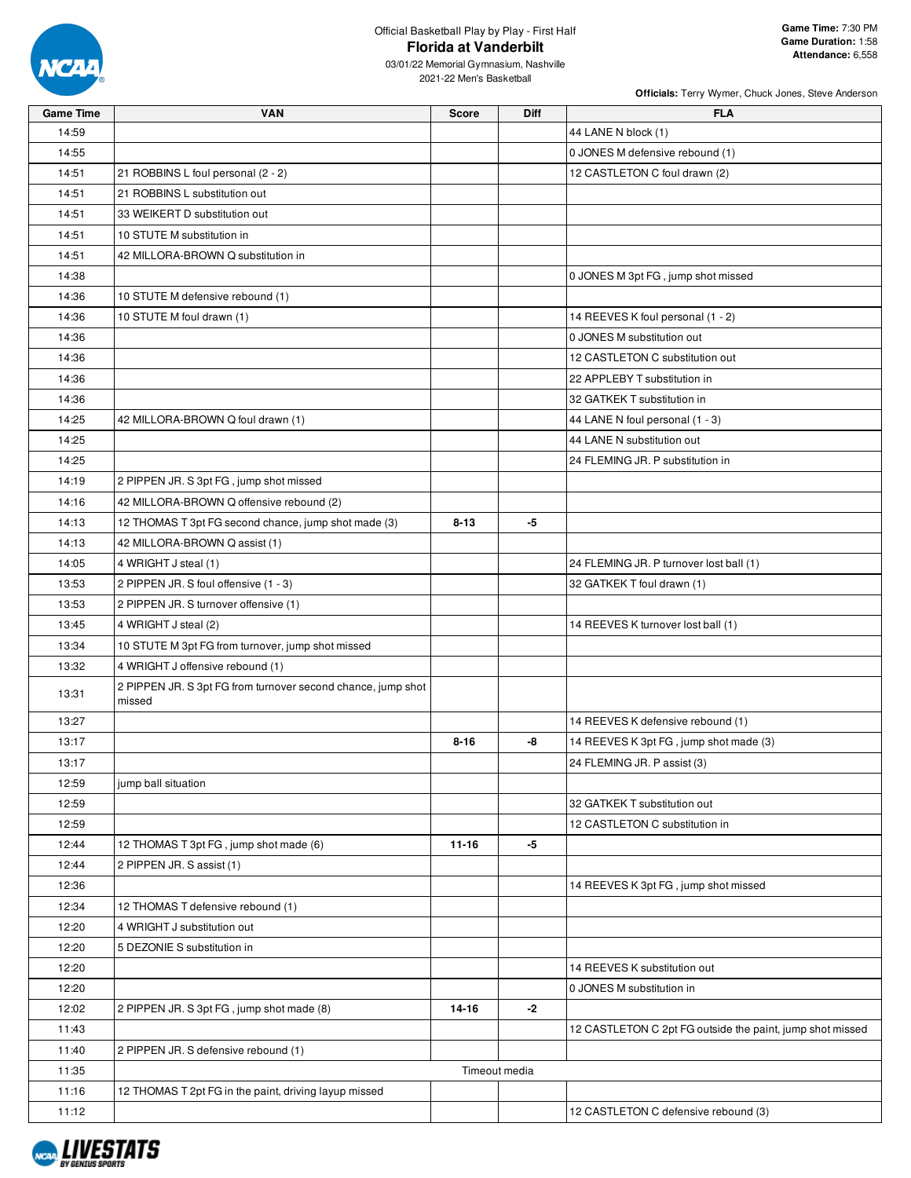

03/01/22 Memorial Gymnasium, Nashville 2021-22 Men's Basketball

| <b>Game Time</b> | <b>VAN</b>                                                   | <b>Score</b> | <b>Diff</b>   | <b>FLA</b>                                                |
|------------------|--------------------------------------------------------------|--------------|---------------|-----------------------------------------------------------|
| 14:59            |                                                              |              |               | 44 LANE N block (1)                                       |
| 14:55            |                                                              |              |               | 0 JONES M defensive rebound (1)                           |
| 14:51            | 21 ROBBINS L foul personal (2 - 2)                           |              |               | 12 CASTLETON C foul drawn (2)                             |
| 14:51            | 21 ROBBINS L substitution out                                |              |               |                                                           |
| 14:51            | 33 WEIKERT D substitution out                                |              |               |                                                           |
| 14:51            | 10 STUTE M substitution in                                   |              |               |                                                           |
| 14:51            | 42 MILLORA-BROWN Q substitution in                           |              |               |                                                           |
| 14:38            |                                                              |              |               | 0 JONES M 3pt FG, jump shot missed                        |
| 14:36            | 10 STUTE M defensive rebound (1)                             |              |               |                                                           |
| 14:36            | 10 STUTE M foul drawn (1)                                    |              |               | 14 REEVES K foul personal (1 - 2)                         |
| 14:36            |                                                              |              |               | 0 JONES M substitution out                                |
| 14:36            |                                                              |              |               | 12 CASTLETON C substitution out                           |
| 14:36            |                                                              |              |               | 22 APPLEBY T substitution in                              |
| 14:36            |                                                              |              |               | 32 GATKEK T substitution in                               |
| 14:25            | 42 MILLORA-BROWN Q foul drawn (1)                            |              |               | 44 LANE N foul personal (1 - 3)                           |
| 14:25            |                                                              |              |               | 44 LANE N substitution out                                |
| 14:25            |                                                              |              |               | 24 FLEMING JR. P substitution in                          |
| 14:19            | 2 PIPPEN JR. S 3pt FG, jump shot missed                      |              |               |                                                           |
| 14:16            | 42 MILLORA-BROWN Q offensive rebound (2)                     |              |               |                                                           |
| 14:13            | 12 THOMAS T 3pt FG second chance, jump shot made (3)         | $8 - 13$     | -5            |                                                           |
| 14:13            | 42 MILLORA-BROWN Q assist (1)                                |              |               |                                                           |
| 14:05            | 4 WRIGHT J steal (1)                                         |              |               | 24 FLEMING JR. P turnover lost ball (1)                   |
| 13:53            | 2 PIPPEN JR. S foul offensive (1 - 3)                        |              |               | 32 GATKEK T foul drawn (1)                                |
| 13:53            | 2 PIPPEN JR. S turnover offensive (1)                        |              |               |                                                           |
| 13:45            | 4 WRIGHT J steal (2)                                         |              |               | 14 REEVES K turnover lost ball (1)                        |
| 13:34            | 10 STUTE M 3pt FG from turnover, jump shot missed            |              |               |                                                           |
| 13:32            | 4 WRIGHT J offensive rebound (1)                             |              |               |                                                           |
|                  | 2 PIPPEN JR. S 3pt FG from turnover second chance, jump shot |              |               |                                                           |
| 13:31            | missed                                                       |              |               |                                                           |
| 13:27            |                                                              |              |               | 14 REEVES K defensive rebound (1)                         |
| 13:17            |                                                              | $8 - 16$     | -8            | 14 REEVES K 3pt FG, jump shot made (3)                    |
| 13:17            |                                                              |              |               | 24 FLEMING JR. P assist (3)                               |
| 12:59            | jump ball situation                                          |              |               |                                                           |
| 12:59            |                                                              |              |               | 32 GATKEK T substitution out                              |
| 12:59            |                                                              |              |               | 12 CASTLETON C substitution in                            |
| 12:44            | 12 THOMAS T 3pt FG, jump shot made (6)                       | $11 - 16$    | -5            |                                                           |
| 12:44            | 2 PIPPEN JR. S assist (1)                                    |              |               |                                                           |
| 12:36            |                                                              |              |               | 14 REEVES K 3pt FG, jump shot missed                      |
| 12:34            | 12 THOMAS T defensive rebound (1)                            |              |               |                                                           |
| 12:20            | 4 WRIGHT J substitution out                                  |              |               |                                                           |
| 12:20            | 5 DEZONIE S substitution in                                  |              |               |                                                           |
| 12:20            |                                                              |              |               | 14 REEVES K substitution out                              |
| 12:20            |                                                              |              |               | 0 JONES M substitution in                                 |
| 12:02            | 2 PIPPEN JR. S 3pt FG, jump shot made (8)                    | 14-16        | -2            |                                                           |
| 11:43            |                                                              |              |               | 12 CASTLETON C 2pt FG outside the paint, jump shot missed |
| 11:40            | 2 PIPPEN JR. S defensive rebound (1)                         |              |               |                                                           |
| 11:35            |                                                              |              | Timeout media |                                                           |
| 11:16            | 12 THOMAS T 2pt FG in the paint, driving layup missed        |              |               |                                                           |
| 11:12            |                                                              |              |               | 12 CASTLETON C defensive rebound (3)                      |

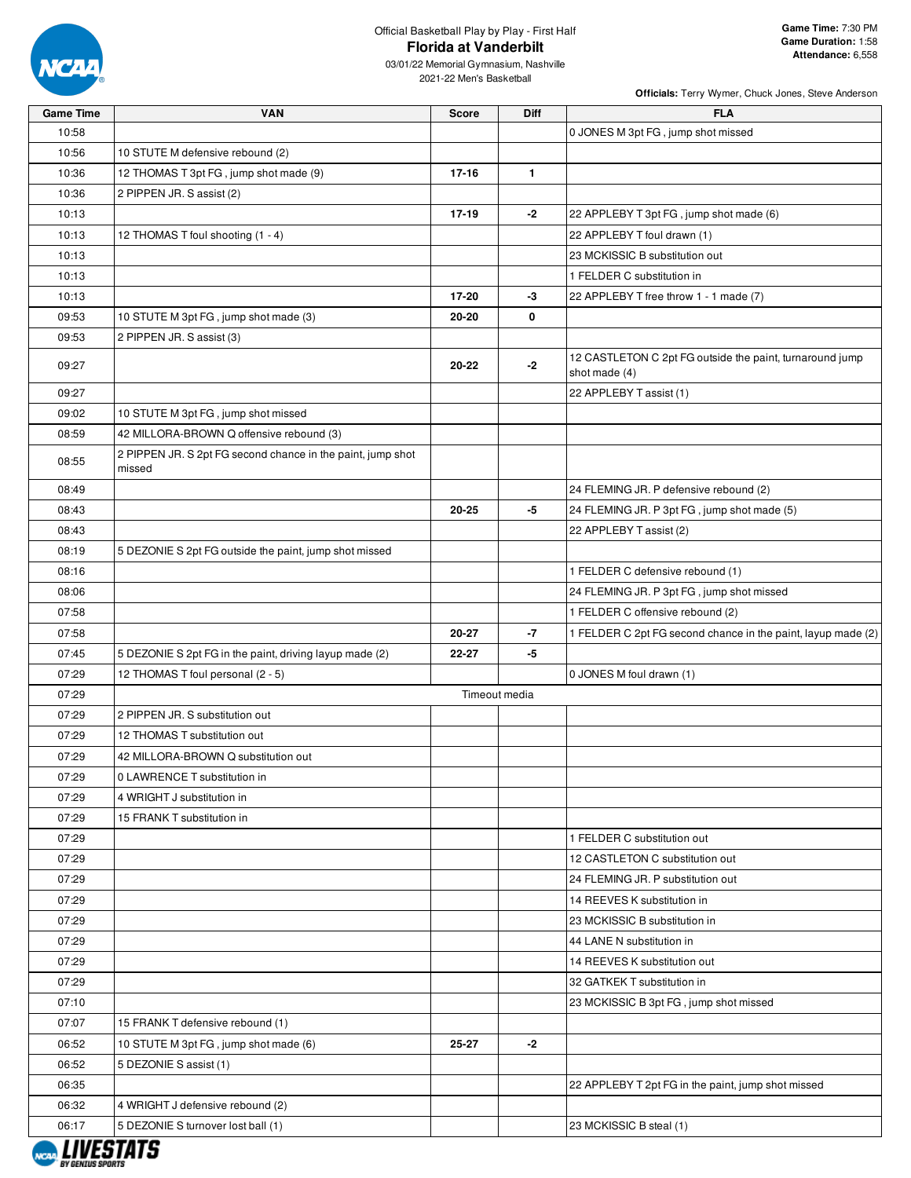

| <b>Game Time</b> | <b>VAN</b>                                                            | <b>Score</b> | <b>Diff</b>   | <b>FLA</b>                                                                |
|------------------|-----------------------------------------------------------------------|--------------|---------------|---------------------------------------------------------------------------|
| 10:58            |                                                                       |              |               | 0 JONES M 3pt FG, jump shot missed                                        |
| 10:56            | 10 STUTE M defensive rebound (2)                                      |              |               |                                                                           |
| 10:36            | 12 THOMAS T 3pt FG, jump shot made (9)                                | 17-16        | $\mathbf{1}$  |                                                                           |
| 10:36            | 2 PIPPEN JR. S assist (2)                                             |              |               |                                                                           |
| 10:13            |                                                                       | 17-19        | $-2$          | 22 APPLEBY T 3pt FG, jump shot made (6)                                   |
| 10:13            | 12 THOMAS T foul shooting (1 - 4)                                     |              |               | 22 APPLEBY T foul drawn (1)                                               |
| 10:13            |                                                                       |              |               | 23 MCKISSIC B substitution out                                            |
| 10:13            |                                                                       |              |               | 1 FELDER C substitution in                                                |
| 10:13            |                                                                       | 17-20        | -3            | 22 APPLEBY T free throw 1 - 1 made (7)                                    |
| 09:53            | 10 STUTE M 3pt FG, jump shot made (3)                                 | 20-20        | 0             |                                                                           |
| 09:53            | 2 PIPPEN JR. S assist (3)                                             |              |               |                                                                           |
| 09:27            |                                                                       | 20-22        | $-2$          | 12 CASTLETON C 2pt FG outside the paint, turnaround jump<br>shot made (4) |
| 09:27            |                                                                       |              |               | 22 APPLEBY T assist (1)                                                   |
| 09:02            | 10 STUTE M 3pt FG, jump shot missed                                   |              |               |                                                                           |
| 08:59            | 42 MILLORA-BROWN Q offensive rebound (3)                              |              |               |                                                                           |
| 08:55            | 2 PIPPEN JR. S 2pt FG second chance in the paint, jump shot<br>missed |              |               |                                                                           |
| 08:49            |                                                                       |              |               | 24 FLEMING JR. P defensive rebound (2)                                    |
| 08:43            |                                                                       | 20-25        | -5            | 24 FLEMING JR. P 3pt FG, jump shot made (5)                               |
| 08:43            |                                                                       |              |               | 22 APPLEBY T assist (2)                                                   |
| 08:19            | 5 DEZONIE S 2pt FG outside the paint, jump shot missed                |              |               |                                                                           |
| 08:16            |                                                                       |              |               | 1 FELDER C defensive rebound (1)                                          |
| 08:06            |                                                                       |              |               | 24 FLEMING JR. P 3pt FG, jump shot missed                                 |
| 07:58            |                                                                       |              |               | 1 FELDER C offensive rebound (2)                                          |
| 07:58            |                                                                       | 20-27        | -7            | 1 FELDER C 2pt FG second chance in the paint, layup made (2)              |
| 07:45            | 5 DEZONIE S 2pt FG in the paint, driving layup made (2)               | 22-27        | -5            |                                                                           |
| 07:29            | 12 THOMAS T foul personal (2 - 5)                                     |              |               | 0 JONES M foul drawn (1)                                                  |
| 07:29            |                                                                       |              | Timeout media |                                                                           |
| 07:29            | 2 PIPPEN JR. S substitution out                                       |              |               |                                                                           |
| 07:29            | 12 THOMAS T substitution out                                          |              |               |                                                                           |
| 07:29            | 42 MILLORA-BROWN Q substitution out                                   |              |               |                                                                           |
| 07:29            | 0 LAWRENCE T substitution in                                          |              |               |                                                                           |
| 07:29            | 4 WRIGHT J substitution in                                            |              |               |                                                                           |
| 07:29            | 15 FRANK T substitution in                                            |              |               |                                                                           |
| 07:29            |                                                                       |              |               | 1 FELDER C substitution out                                               |
| 07:29            |                                                                       |              |               | 12 CASTLETON C substitution out                                           |
| 07:29            |                                                                       |              |               | 24 FLEMING JR. P substitution out                                         |
| 07:29            |                                                                       |              |               | 14 REEVES K substitution in                                               |
| 07:29            |                                                                       |              |               | 23 MCKISSIC B substitution in                                             |
| 07:29            |                                                                       |              |               | 44 LANE N substitution in                                                 |
| 07:29            |                                                                       |              |               | 14 REEVES K substitution out                                              |
|                  |                                                                       |              |               |                                                                           |
| 07:29            |                                                                       |              |               | 32 GATKEK T substitution in                                               |
| 07:10            |                                                                       |              |               | 23 MCKISSIC B 3pt FG, jump shot missed                                    |
| 07:07            | 15 FRANK T defensive rebound (1)                                      |              |               |                                                                           |
| 06:52            | 10 STUTE M 3pt FG, jump shot made (6)                                 | 25-27        | -2            |                                                                           |
| 06:52            | 5 DEZONIE S assist (1)                                                |              |               |                                                                           |
| 06:35            |                                                                       |              |               | 22 APPLEBY T 2pt FG in the paint, jump shot missed                        |
| 06:32            | 4 WRIGHT J defensive rebound (2)                                      |              |               |                                                                           |
| 06:17            | 5 DEZONIE S turnover lost ball (1)                                    |              |               | 23 MCKISSIC B steal (1)                                                   |

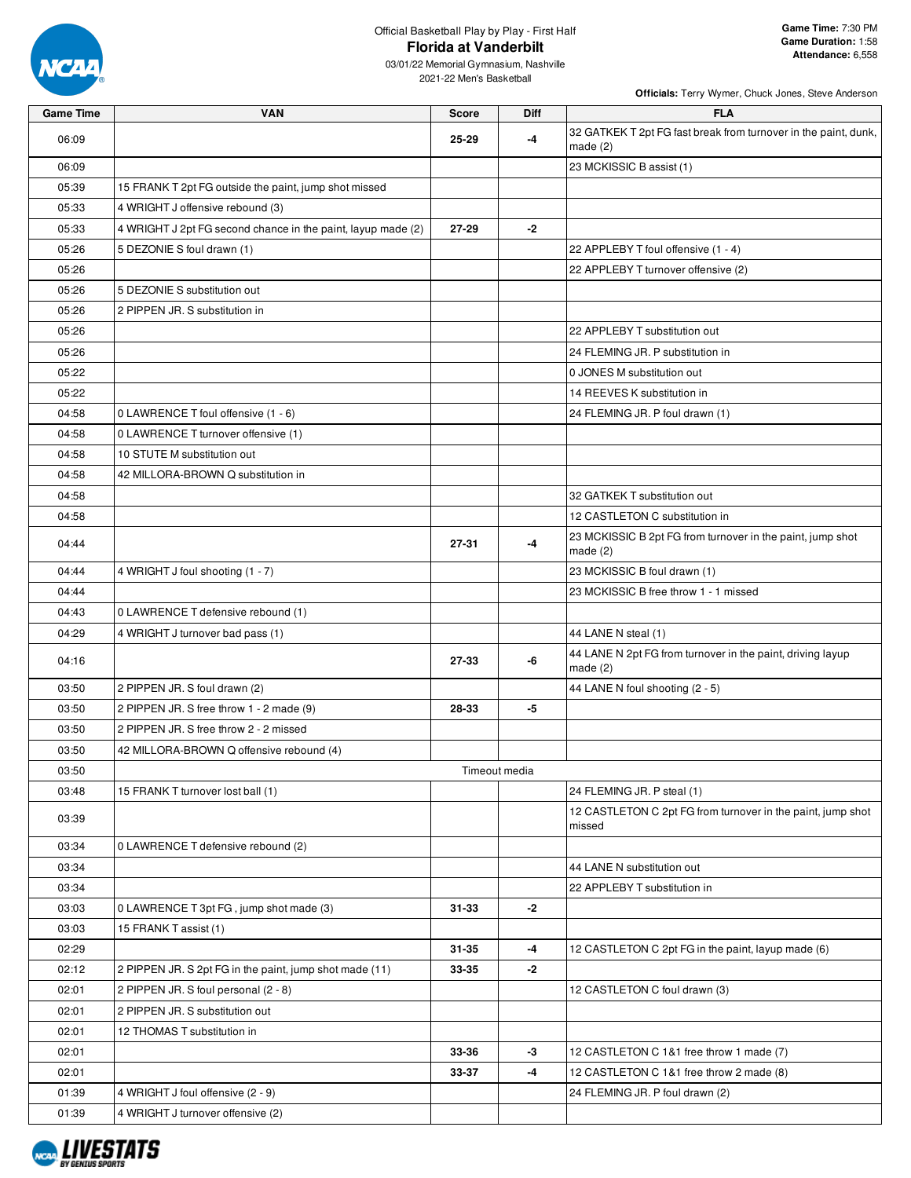

| <b>Game Time</b> | <b>VAN</b>                                                   | <b>Score</b> | <b>Diff</b>   | <b>FLA</b>                                                                    |
|------------------|--------------------------------------------------------------|--------------|---------------|-------------------------------------------------------------------------------|
| 06:09            |                                                              | 25-29        | -4            | 32 GATKEK T 2pt FG fast break from turnover in the paint, dunk,<br>made $(2)$ |
| 06:09            |                                                              |              |               | 23 MCKISSIC B assist (1)                                                      |
| 05:39            | 15 FRANK T 2pt FG outside the paint, jump shot missed        |              |               |                                                                               |
| 05:33            | 4 WRIGHT J offensive rebound (3)                             |              |               |                                                                               |
| 05:33            | 4 WRIGHT J 2pt FG second chance in the paint, layup made (2) | 27-29        | $-2$          |                                                                               |
| 05:26            | 5 DEZONIE S foul drawn (1)                                   |              |               | 22 APPLEBY T foul offensive (1 - 4)                                           |
| 05:26            |                                                              |              |               | 22 APPLEBY T turnover offensive (2)                                           |
| 05:26            | 5 DEZONIE S substitution out                                 |              |               |                                                                               |
| 05:26            | 2 PIPPEN JR. S substitution in                               |              |               |                                                                               |
| 05:26            |                                                              |              |               | 22 APPLEBY T substitution out                                                 |
| 05:26            |                                                              |              |               | 24 FLEMING JR. P substitution in                                              |
| 05:22            |                                                              |              |               | 0 JONES M substitution out                                                    |
| 05:22            |                                                              |              |               | 14 REEVES K substitution in                                                   |
| 04:58            | 0 LAWRENCE T foul offensive (1 - 6)                          |              |               | 24 FLEMING JR. P foul drawn (1)                                               |
| 04:58            | 0 LAWRENCE T turnover offensive (1)                          |              |               |                                                                               |
| 04:58            | 10 STUTE M substitution out                                  |              |               |                                                                               |
| 04:58            | 42 MILLORA-BROWN Q substitution in                           |              |               |                                                                               |
| 04:58            |                                                              |              |               | 32 GATKEK T substitution out                                                  |
| 04:58            |                                                              |              |               | 12 CASTLETON C substitution in                                                |
| 04:44            |                                                              | 27-31        | -4            | 23 MCKISSIC B 2pt FG from turnover in the paint, jump shot<br>made $(2)$      |
| 04:44            | 4 WRIGHT J foul shooting (1 - 7)                             |              |               | 23 MCKISSIC B foul drawn (1)                                                  |
| 04:44            |                                                              |              |               | 23 MCKISSIC B free throw 1 - 1 missed                                         |
| 04:43            | 0 LAWRENCE T defensive rebound (1)                           |              |               |                                                                               |
| 04:29            | 4 WRIGHT J turnover bad pass (1)                             |              |               | 44 LANE N steal (1)                                                           |
| 04:16            |                                                              | 27-33        | -6            | 44 LANE N 2pt FG from turnover in the paint, driving layup<br>made $(2)$      |
| 03:50            | 2 PIPPEN JR. S foul drawn (2)                                |              |               | 44 LANE N foul shooting (2 - 5)                                               |
| 03:50            | 2 PIPPEN JR. S free throw 1 - 2 made (9)                     | 28-33        | -5            |                                                                               |
| 03:50            | 2 PIPPEN JR. S free throw 2 - 2 missed                       |              |               |                                                                               |
| 03:50            | 42 MILLORA-BROWN Q offensive rebound (4)                     |              |               |                                                                               |
| 03:50            |                                                              |              | Timeout media |                                                                               |
| 03:48            | 15 FRANK T turnover lost ball (1)                            |              |               | 24 FLEMING JR. P steal (1)                                                    |
| 03:39            |                                                              |              |               | 12 CASTLETON C 2pt FG from turnover in the paint, jump shot<br>missed         |
| 03:34            | 0 LAWRENCE T defensive rebound (2)                           |              |               |                                                                               |
| 03:34            |                                                              |              |               | 44 LANE N substitution out                                                    |
| 03:34            |                                                              |              |               | 22 APPLEBY T substitution in                                                  |
| 03:03            | 0 LAWRENCE T 3pt FG, jump shot made (3)                      | $31 - 33$    | $-2$          |                                                                               |
| 03:03            | 15 FRANK T assist (1)                                        |              |               |                                                                               |
| 02:29            |                                                              | $31 - 35$    | -4            | 12 CASTLETON C 2pt FG in the paint, layup made (6)                            |
| 02:12            | 2 PIPPEN JR. S 2pt FG in the paint, jump shot made (11)      | 33-35        | -2            |                                                                               |
| 02:01            | 2 PIPPEN JR. S foul personal (2 - 8)                         |              |               | 12 CASTLETON C foul drawn (3)                                                 |
| 02:01            | 2 PIPPEN JR. S substitution out                              |              |               |                                                                               |
| 02:01            | 12 THOMAS T substitution in                                  |              |               |                                                                               |
| 02:01            |                                                              | 33-36        | $-3$          | 12 CASTLETON C 1&1 free throw 1 made (7)                                      |
| 02:01            |                                                              | 33-37        | -4            | 12 CASTLETON C 1&1 free throw 2 made (8)                                      |
| 01:39            | 4 WRIGHT J foul offensive (2 - 9)                            |              |               | 24 FLEMING JR. P foul drawn (2)                                               |
| 01:39            | 4 WRIGHT J turnover offensive (2)                            |              |               |                                                                               |

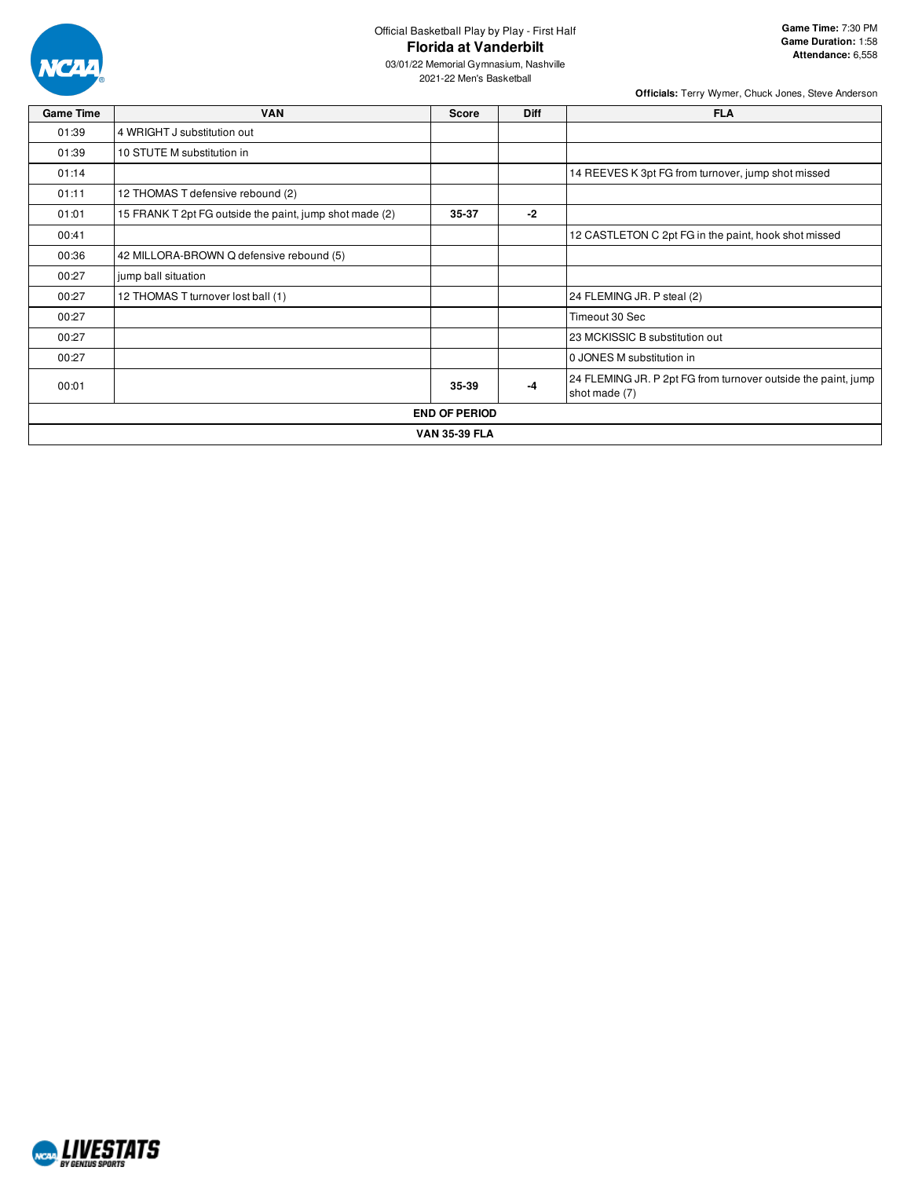

03/01/22 Memorial Gymnasium, Nashville 2021-22 Men's Basketball

| <b>Game Time</b> | <b>VAN</b>                                              | <b>Score</b>         | <b>Diff</b> | <b>FLA</b>                                                                     |
|------------------|---------------------------------------------------------|----------------------|-------------|--------------------------------------------------------------------------------|
| 01:39            | 4 WRIGHT J substitution out                             |                      |             |                                                                                |
| 01:39            | 10 STUTE M substitution in                              |                      |             |                                                                                |
| 01:14            |                                                         |                      |             | 14 REEVES K 3pt FG from turnover, jump shot missed                             |
| 01:11            | 12 THOMAS T defensive rebound (2)                       |                      |             |                                                                                |
| 01:01            | 15 FRANK T 2pt FG outside the paint, jump shot made (2) | 35-37                | $-2$        |                                                                                |
| 00:41            |                                                         |                      |             | 12 CASTLETON C 2pt FG in the paint, hook shot missed                           |
| 00:36            | 42 MILLORA-BROWN Q defensive rebound (5)                |                      |             |                                                                                |
| 00:27            | jump ball situation                                     |                      |             |                                                                                |
| 00:27            | 12 THOMAS T turnover lost ball (1)                      |                      |             | 24 FLEMING JR. P steal (2)                                                     |
| 00:27            |                                                         |                      |             | Timeout 30 Sec                                                                 |
| 00:27            |                                                         |                      |             | 23 MCKISSIC B substitution out                                                 |
| 00:27            |                                                         |                      |             | 0 JONES M substitution in                                                      |
| 00:01            |                                                         | 35-39                | -4          | 24 FLEMING JR. P 2pt FG from turnover outside the paint, jump<br>shot made (7) |
|                  |                                                         | <b>END OF PERIOD</b> |             |                                                                                |
|                  |                                                         | <b>VAN 35-39 FLA</b> |             |                                                                                |

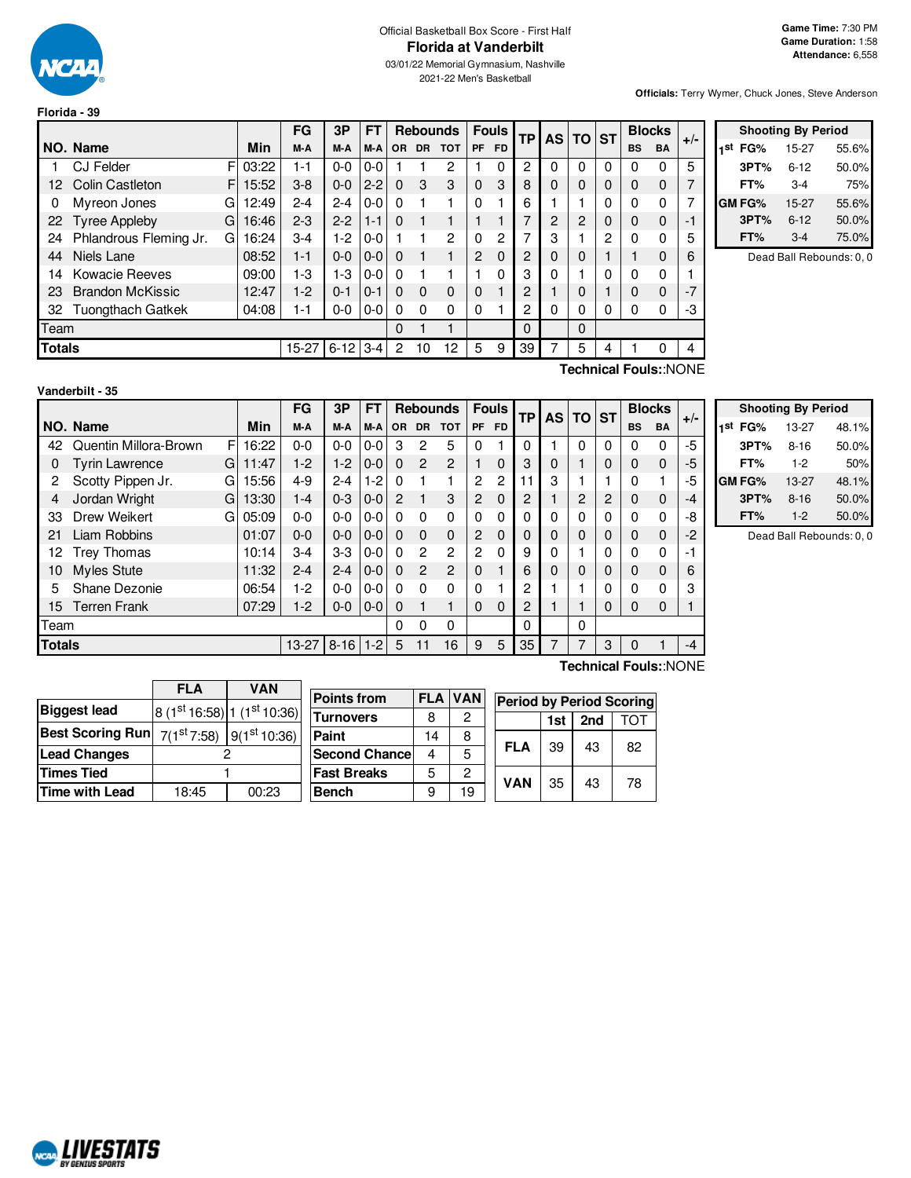

**Florida - 39**

# Official Basketball Box Score - First Half **Florida at Vanderbilt**

03/01/22 Memorial Gymnasium, Nashville 2021-22 Men's Basketball

**Officials:** Terry Wymer, Chuck Jones, Steve Anderson

|                        |                          |    |       | FG      | 3P       | FT      |           |           | <b>Rebounds</b> |                | <b>Fouls</b> | TP | AS I | <b>TO</b>      | <b>ST</b> | <b>Blocks</b> |                       |       |
|------------------------|--------------------------|----|-------|---------|----------|---------|-----------|-----------|-----------------|----------------|--------------|----|------|----------------|-----------|---------------|-----------------------|-------|
|                        | NO. Name                 |    | Min   | M-A     | M-A      | M-A     | <b>OR</b> | <b>DR</b> | <b>TOT</b>      | <b>PF</b>      | <b>FD</b>    |    |      |                |           | <b>BS</b>     | <b>BA</b>             | $+/-$ |
|                        | <b>CJ Felder</b>         | F  | 03:22 | 1-1     | $0-0$    | $0 - 0$ |           |           | 2               |                | 0            | 2  | 0    | 0              | 0         | 0             | 0                     | 5     |
| 12                     | <b>Colin Castleton</b>   | FI | 15:52 | $3 - 8$ | $0-0$    | $2 - 2$ | $\Omega$  | 3         | 3               | 0              | 3            | 8  | 0    | 0              | 0         | $\Omega$      | 0                     |       |
| 0                      | Myreon Jones             | G  | 12:49 | $2 - 4$ | $2 - 4$  | $0 - 0$ | $\Omega$  |           |                 | 0              |              | 6  |      |                | 0         | $\Omega$      | 0                     |       |
| 22                     | <b>Tyree Appleby</b>     | G  | 16:46 | $2 - 3$ | $2 - 2$  | $1 - 1$ | $\Omega$  |           |                 |                |              | 7  | 2    | $\overline{2}$ | 0         | 0             | $\Omega$              | -1    |
| 24                     | Phlandrous Fleming Jr.   | G  | 16:24 | $3-4$   | $1-2$    | $0 - 0$ |           |           | $\overline{2}$  | 0              | 2            | 7  | 3    |                | 2         | $\Omega$      | 0                     | 5     |
| 44                     | Niels Lane               |    | 08:52 | $1 - 1$ | $0-0$    | $0 - 0$ | 0         |           |                 | $\overline{2}$ | 0            | 2  | 0    | 0              |           |               | 0                     | 6     |
| 14                     | <b>Kowacie Reeves</b>    |    | 09:00 | $1-3$   | $1-3$    | $0 - 0$ | 0         |           |                 |                | 0            | 3  | 0    |                | 0         | 0             | 0                     |       |
| 23                     | <b>Brandon McKissic</b>  |    | 12:47 | $1-2$   | $0 - 1$  | $0 - 1$ | $\Omega$  | $\Omega$  | $\Omega$        | 0              |              | 2  |      | 0              |           | $\Omega$      | $\Omega$              | $-7$  |
| 32                     | <b>Tuongthach Gatkek</b> |    | 04:08 | 1-1     | $0-0$    | $0-0$   | $\Omega$  | $\Omega$  | 0               | 0              |              | 2  | 0    | 0              | 0         | 0             | 0                     | -3    |
|                        | Team                     |    |       |         |          |         |           |           |                 |                |              | 0  |      | 0              |           |               |                       |       |
| <b>Totals</b><br>15-27 |                          |    |       |         | $6 - 12$ | $3 - 4$ | 2         | 10        | 12              | 5              | 9            | 39 |      | 5              | 4         |               | 0                     | 4     |
|                        |                          |    |       |         |          |         |           |           |                 |                |              |    |      |                |           |               | Technical Fouls::NONE |       |

|     | <b>Shooting By Period</b> |          |       |  |  |  |  |  |  |
|-----|---------------------------|----------|-------|--|--|--|--|--|--|
| 1st | FG%                       | 15-27    | 55.6% |  |  |  |  |  |  |
|     | 3PT%                      | $6 - 12$ | 50.0% |  |  |  |  |  |  |
|     | FT%                       | $3-4$    | 75%   |  |  |  |  |  |  |
|     | GM FG%                    | 15-27    | 55.6% |  |  |  |  |  |  |
|     | 3PT%                      | $6 - 12$ | 50.0% |  |  |  |  |  |  |
|     | FT%                       | $3-4$    | 75.0% |  |  |  |  |  |  |

Dead Ball Rebounds: 0, 0

| Vanderbilt - 35 |  |
|-----------------|--|
|                 |  |

FG  $|$  3P  $|$  FT Rebounds Fouls TP AS TO ST Blocks  $|$  +/-<br>M-A  $|$  M-A  $|$  OR DR TOT PF FD TP AS TO ST BS BA

|               | NO. Name                   | Min   | M-A       | M-A      | M-A     | <b>OR</b> | <b>DR</b> | <b>TOT</b>     | <b>PF</b> | <b>FD</b> |          |   |   |   | <b>BS</b> | <b>BA</b>    | . .  | FG%<br>1st       |
|---------------|----------------------------|-------|-----------|----------|---------|-----------|-----------|----------------|-----------|-----------|----------|---|---|---|-----------|--------------|------|------------------|
| 42            | Quentin Millora-Brown<br>F | 16:22 | $0-0$     | $0 - 0$  | $0-0$   | 3         | 2         | 5              | 0         |           | 0        |   | 0 | 0 | 0         | 0            | -5   | 3PT <sup>o</sup> |
| 0             | <b>Tyrin Lawrence</b><br>G | 11:47 | 1-2       | $1-2$    | $0 - 0$ | 0         | 2         | 2              |           | 0         | 3        | 0 |   | 0 | 0         | $\mathbf 0$  | -5   | FT%              |
| 2             | Scotty Pippen Jr.<br>GI    | 15:56 | 4-9       | $2 - 4$  | 1-2     | 0         |           |                | 2         | 2         | 11       | З |   |   | 0         |              | -5   | <b>GM FG%</b>    |
| 4             | Jordan Wright<br>G         | 13:30 | $1 - 4$   | $0 - 3$  | $0-0$   | 2         |           | 3              | 2         | $\Omega$  | 2        |   | 2 | 2 | $\Omega$  | $\mathbf 0$  | -4   | 3PT <sup>o</sup> |
| 33            | Drew Weikert<br>G          | 05:09 | $0 - 0$   | $0 - 0$  | $0-0$   | 0         | ŋ         | 0              | 0         | 0         | 0        |   | 0 | 0 | 0         | 0            | -8   | FT%              |
| 21            | Liam Robbins               | 01:07 | $0 - 0$   | $0 - 0$  | $0 - 0$ | 0         | 0         | $\mathbf 0$    | 2         | 0         | $\Omega$ | 0 | 0 | 0 | 0         | $\mathbf 0$  | $-2$ | De               |
| 12.           | Trey Thomas                | 10:14 | 3-4       | $3-3$    | $0-0$   | 0         | 2         | 2              | 2         | $\Omega$  | 9        |   |   | 0 | 0         | $\mathbf{0}$ | -1   |                  |
| 10            | Myles Stute                | 11:32 | $2 - 4$   | $2 - 4$  | $0 - 0$ | 0         | 2         | $\overline{c}$ | 0         |           | 6        |   | 0 | 0 | 0         | $\mathbf 0$  | 6    |                  |
| 5             | Shane Dezonie              | 06:54 | 1-2       | $0-0$    | $0-0$   | 0         | n         | 0              | 0         |           | 2        |   |   | 0 | 0         | 0            | 3    |                  |
| 15            | Terren Frank               | 07:29 | $1-2$     | $0 - 0$  | $10-0$  | 0         |           |                | 0         | 0         | 2        |   |   | 0 | 0         | 0            |      |                  |
| Team          |                            |       |           |          |         | 0         | 0         | $\Omega$       |           |           | $\Omega$ |   | 0 |   |           |              |      |                  |
| <b>Totals</b> |                            |       | $13 - 27$ | $8 - 16$ | $1 - 2$ | 5         |           | 16             | 9         | 5         | 35       |   |   | 3 | 0         |              | -4   |                  |

| <b>Shooting By Period</b> |          |       |  |  |  |  |  |  |
|---------------------------|----------|-------|--|--|--|--|--|--|
| 1st<br>FG%                | 13-27    | 48.1% |  |  |  |  |  |  |
| 3PT%                      | $8 - 16$ | 50.0% |  |  |  |  |  |  |
| FT%                       | $1-2$    | 50%   |  |  |  |  |  |  |
| GM FG%                    | 13-27    | 48.1% |  |  |  |  |  |  |
| 3PT%                      | $8 - 16$ | 50.0% |  |  |  |  |  |  |
| FT%                       | $1 - 2$  | 50.0% |  |  |  |  |  |  |

ad Ball Rebounds: 0, 0

|                         | <b>FLA</b>              | <b>VAN</b>               |                      |            |            |                                 |     |     |     |
|-------------------------|-------------------------|--------------------------|----------------------|------------|------------|---------------------------------|-----|-----|-----|
|                         |                         |                          | <b>Points from</b>   | <b>FLA</b> | <b>VAN</b> | <b>Period by Period Scoring</b> |     |     |     |
| <b>Biggest lead</b>     |                         | $8(1st16:58)1(1st10:36)$ | <b>Turnovers</b>     | 8          | 2          |                                 | 1st | 2nd | וסד |
| <b>Best Scoring Run</b> | 7(1 <sup>st</sup> 7:58) | 9(1 <sup>st</sup> 10:36) | Paint                | 14         | 8          |                                 |     |     |     |
| <b>Lead Changes</b>     |                         |                          | <b>Second Chance</b> | 4          | 5          | <b>FLA</b>                      | 39  | 43  | 82  |
| <b>Times Tied</b>       |                         |                          | <b>Fast Breaks</b>   | 5          | 2          | <b>VAN</b>                      |     |     |     |
| <b>Time with Lead</b>   | 18:45                   | 00:23                    | <b>Bench</b>         | 9          | 19         |                                 | 35  | 43  | 78  |

**Technical Fouls:**:NONE

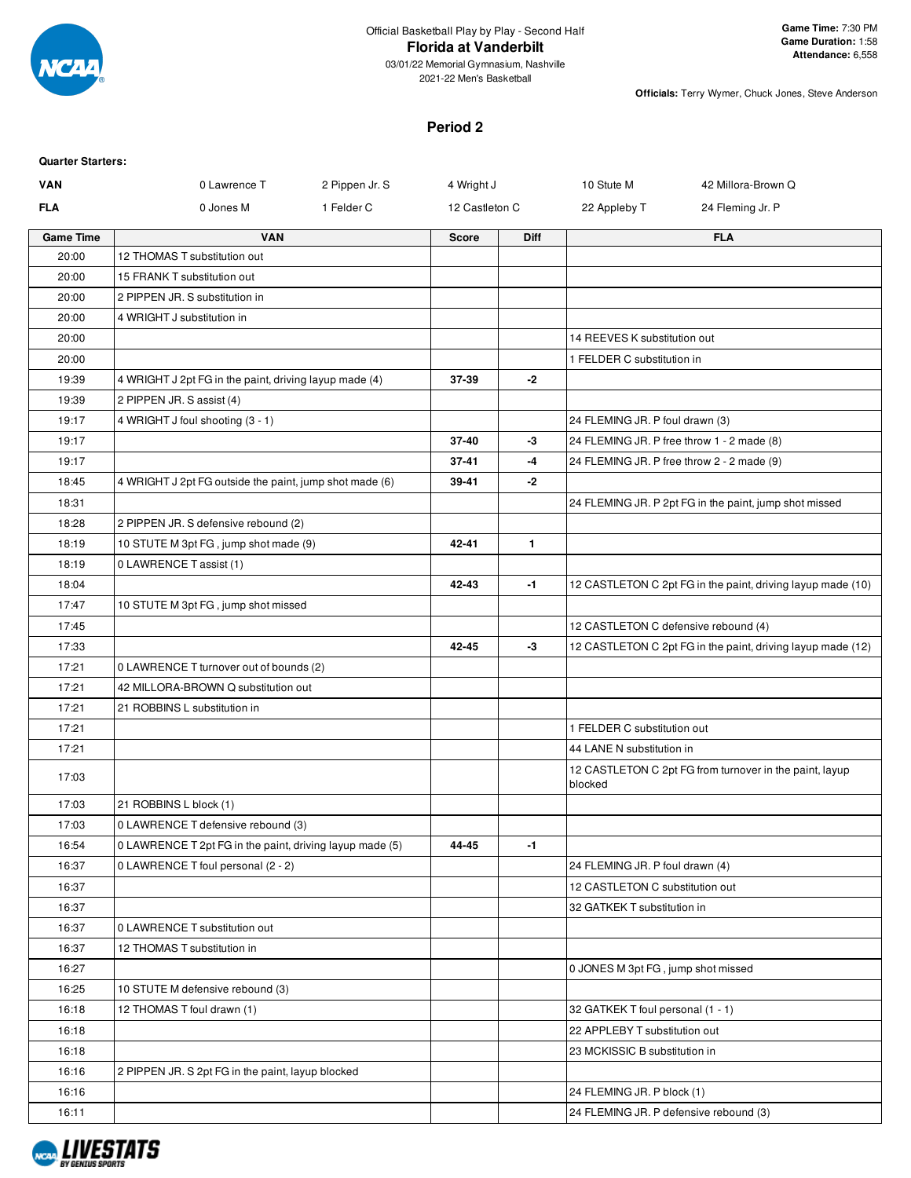

2021-22 Men's Basketball

**Officials:** Terry Wymer, Chuck Jones, Steve Anderson

### **Period 2**

| <b>Quarter Starters:</b> |                                                          |                |              |                                        |                                                             |
|--------------------------|----------------------------------------------------------|----------------|--------------|----------------------------------------|-------------------------------------------------------------|
| VAN                      | 2 Pippen Jr. S<br>0 Lawrence T                           | 4 Wright J     |              | 10 Stute M                             | 42 Millora-Brown Q                                          |
| <b>FLA</b>               | 1 Felder C<br>0 Jones M                                  | 12 Castleton C |              | 22 Appleby T                           | 24 Fleming Jr. P                                            |
| <b>Game Time</b>         | <b>VAN</b>                                               | <b>Score</b>   | Diff         |                                        | <b>FLA</b>                                                  |
| 20:00                    | 12 THOMAS T substitution out                             |                |              |                                        |                                                             |
| 20:00                    | 15 FRANK T substitution out                              |                |              |                                        |                                                             |
| 20:00                    | 2 PIPPEN JR. S substitution in                           |                |              |                                        |                                                             |
| 20:00                    | 4 WRIGHT J substitution in                               |                |              |                                        |                                                             |
| 20:00                    |                                                          |                |              | 14 REEVES K substitution out           |                                                             |
| 20:00                    |                                                          |                |              | 1 FELDER C substitution in             |                                                             |
| 19:39                    | 4 WRIGHT J 2pt FG in the paint, driving layup made (4)   | 37-39          | -2           |                                        |                                                             |
| 19:39                    | 2 PIPPEN JR. S assist (4)                                |                |              |                                        |                                                             |
| 19:17                    | 4 WRIGHT J foul shooting (3 - 1)                         |                |              | 24 FLEMING JR. P foul drawn (3)        |                                                             |
| 19:17                    |                                                          | $37 - 40$      | -3           |                                        | 24 FLEMING JR. P free throw 1 - 2 made (8)                  |
| 19:17                    |                                                          | $37 - 41$      | -4           |                                        | 24 FLEMING JR. P free throw 2 - 2 made (9)                  |
| 18:45                    | 4 WRIGHT J 2pt FG outside the paint, jump shot made (6)  | 39-41          | $-2$         |                                        |                                                             |
| 18:31                    |                                                          |                |              |                                        | 24 FLEMING JR. P 2pt FG in the paint, jump shot missed      |
| 18:28                    | 2 PIPPEN JR. S defensive rebound (2)                     |                |              |                                        |                                                             |
| 18:19                    | 10 STUTE M 3pt FG, jump shot made (9)                    | 42-41          | $\mathbf{1}$ |                                        |                                                             |
| 18:19                    | 0 LAWRENCE T assist (1)                                  |                |              |                                        |                                                             |
| 18:04<br>17:47           |                                                          | 42-43          | -1           |                                        | 12 CASTLETON C 2pt FG in the paint, driving layup made (10) |
| 17:45                    | 10 STUTE M 3pt FG, jump shot missed                      |                |              | 12 CASTLETON C defensive rebound (4)   |                                                             |
| 17:33                    |                                                          | 42-45          | -3           |                                        | 12 CASTLETON C 2pt FG in the paint, driving layup made (12) |
| 17:21                    | 0 LAWRENCE T turnover out of bounds (2)                  |                |              |                                        |                                                             |
| 17:21                    | 42 MILLORA-BROWN Q substitution out                      |                |              |                                        |                                                             |
| 17:21                    | 21 ROBBINS L substitution in                             |                |              |                                        |                                                             |
| 17:21                    |                                                          |                |              | 1 FELDER C substitution out            |                                                             |
| 17:21                    |                                                          |                |              | 44 LANE N substitution in              |                                                             |
| 17:03                    |                                                          |                |              | blocked                                | 12 CASTLETON C 2pt FG from turnover in the paint, layup     |
| 17:03                    | 21 ROBBINS L block (1)                                   |                |              |                                        |                                                             |
| 17:03                    | 0 LAWRENCE T defensive rebound (3)                       |                |              |                                        |                                                             |
| 16:54                    | 0 LAWRENCE T 2pt FG in the paint, driving layup made (5) | 44-45          | -1           |                                        |                                                             |
| 16:37                    | 0 LAWRENCE T foul personal (2 - 2)                       |                |              | 24 FLEMING JR. P foul drawn (4)        |                                                             |
| 16:37                    |                                                          |                |              | 12 CASTLETON C substitution out        |                                                             |
| 16:37                    |                                                          |                |              | 32 GATKEK T substitution in            |                                                             |
| 16:37                    | 0 LAWRENCE T substitution out                            |                |              |                                        |                                                             |
| 16:37                    | 12 THOMAS T substitution in                              |                |              |                                        |                                                             |
| 16:27                    |                                                          |                |              | 0 JONES M 3pt FG, jump shot missed     |                                                             |
| 16:25                    | 10 STUTE M defensive rebound (3)                         |                |              |                                        |                                                             |
| 16:18                    | 12 THOMAS T foul drawn (1)                               |                |              | 32 GATKEK T foul personal (1 - 1)      |                                                             |
| 16:18                    |                                                          |                |              | 22 APPLEBY T substitution out          |                                                             |
| 16:18                    |                                                          |                |              | 23 MCKISSIC B substitution in          |                                                             |
| 16:16                    | 2 PIPPEN JR. S 2pt FG in the paint, layup blocked        |                |              |                                        |                                                             |
| 16:16                    |                                                          |                |              | 24 FLEMING JR. P block (1)             |                                                             |
| 16:11                    |                                                          |                |              | 24 FLEMING JR. P defensive rebound (3) |                                                             |

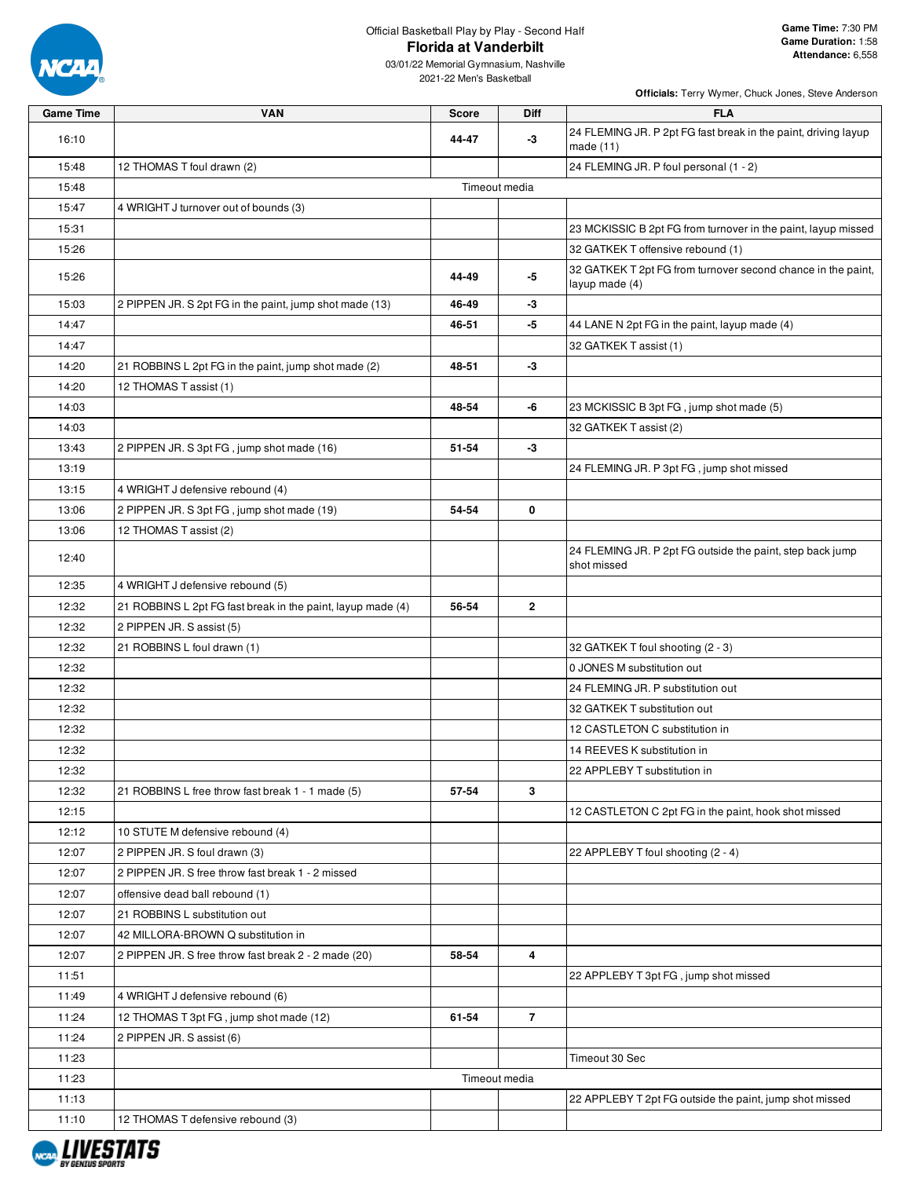

2021-22 Men's Basketball

| <b>Game Time</b> | <b>VAN</b>                                                  | <b>Score</b> | Diff                    | <b>FLA</b>                                                                     |
|------------------|-------------------------------------------------------------|--------------|-------------------------|--------------------------------------------------------------------------------|
| 16:10            |                                                             | 44-47        | -3                      | 24 FLEMING JR. P 2pt FG fast break in the paint, driving layup                 |
|                  |                                                             |              |                         | made (11)                                                                      |
| 15:48            | 12 THOMAS T foul drawn (2)                                  |              |                         | 24 FLEMING JR. P foul personal (1 - 2)                                         |
| 15:48            |                                                             |              | Timeout media           |                                                                                |
| 15:47            | 4 WRIGHT J turnover out of bounds (3)                       |              |                         |                                                                                |
| 15:31            |                                                             |              |                         | 23 MCKISSIC B 2pt FG from turnover in the paint, layup missed                  |
| 15:26            |                                                             |              |                         | 32 GATKEK T offensive rebound (1)                                              |
| 15:26            |                                                             | 44-49        | -5                      | 32 GATKEK T 2pt FG from turnover second chance in the paint,<br>layup made (4) |
| 15:03            | 2 PIPPEN JR. S 2pt FG in the paint, jump shot made (13)     | 46-49        | -3                      |                                                                                |
| 14:47            |                                                             | 46-51        | -5                      | 44 LANE N 2pt FG in the paint, layup made (4)                                  |
| 14:47            |                                                             |              |                         | 32 GATKEK T assist (1)                                                         |
| 14:20            | 21 ROBBINS L 2pt FG in the paint, jump shot made (2)        | 48-51        | -3                      |                                                                                |
| 14:20            | 12 THOMAS T assist (1)                                      |              |                         |                                                                                |
| 14:03            |                                                             | 48-54        | -6                      | 23 MCKISSIC B 3pt FG, jump shot made (5)                                       |
| 14:03            |                                                             |              |                         | 32 GATKEK T assist (2)                                                         |
| 13:43            | 2 PIPPEN JR. S 3pt FG, jump shot made (16)                  | 51-54        | -3                      |                                                                                |
| 13:19            |                                                             |              |                         | 24 FLEMING JR. P 3pt FG, jump shot missed                                      |
| 13:15            | 4 WRIGHT J defensive rebound (4)                            |              |                         |                                                                                |
| 13:06            | 2 PIPPEN JR. S 3pt FG, jump shot made (19)                  | 54-54        | 0                       |                                                                                |
| 13:06            | 12 THOMAS T assist (2)                                      |              |                         |                                                                                |
| 12:40            |                                                             |              |                         | 24 FLEMING JR. P 2pt FG outside the paint, step back jump<br>shot missed       |
| 12:35            | 4 WRIGHT J defensive rebound (5)                            |              |                         |                                                                                |
| 12:32            | 21 ROBBINS L 2pt FG fast break in the paint, layup made (4) | 56-54        | $\mathbf{2}$            |                                                                                |
| 12:32            | 2 PIPPEN JR. S assist (5)                                   |              |                         |                                                                                |
| 12:32            | 21 ROBBINS L foul drawn (1)                                 |              |                         | 32 GATKEK T foul shooting (2 - 3)                                              |
| 12:32            |                                                             |              |                         | 0 JONES M substitution out                                                     |
| 12:32            |                                                             |              |                         | 24 FLEMING JR. P substitution out                                              |
| 12:32            |                                                             |              |                         | 32 GATKEK T substitution out                                                   |
| 12:32            |                                                             |              |                         | 12 CASTLETON C substitution in                                                 |
| 12:32            |                                                             |              |                         | 14 REEVES K substitution in                                                    |
| 12:32            |                                                             |              |                         | 22 APPLEBY T substitution in                                                   |
| 12:32            | 21 ROBBINS L free throw fast break 1 - 1 made (5)           | 57-54        | $\mathbf{3}$            |                                                                                |
| 12:15            |                                                             |              |                         | 12 CASTLETON C 2pt FG in the paint, hook shot missed                           |
| 12:12            | 10 STUTE M defensive rebound (4)                            |              |                         |                                                                                |
| 12:07            | 2 PIPPEN JR. S foul drawn (3)                               |              |                         | 22 APPLEBY T foul shooting (2 - 4)                                             |
| 12:07            | 2 PIPPEN JR. S free throw fast break 1 - 2 missed           |              |                         |                                                                                |
| 12:07            | offensive dead ball rebound (1)                             |              |                         |                                                                                |
| 12:07            | 21 ROBBINS L substitution out                               |              |                         |                                                                                |
| 12:07            | 42 MILLORA-BROWN Q substitution in                          |              |                         |                                                                                |
| 12:07            | 2 PIPPEN JR. S free throw fast break 2 - 2 made (20)        | 58-54        | $\overline{\mathbf{4}}$ |                                                                                |
| 11:51            |                                                             |              |                         | 22 APPLEBY T 3pt FG, jump shot missed                                          |
| 11:49            | 4 WRIGHT J defensive rebound (6)                            |              |                         |                                                                                |
| 11:24            | 12 THOMAS T 3pt FG, jump shot made (12)                     | 61-54        | $\overline{7}$          |                                                                                |
| 11:24            | 2 PIPPEN JR. S assist (6)                                   |              |                         |                                                                                |
| 11:23            |                                                             |              |                         | Timeout 30 Sec                                                                 |
| 11:23            |                                                             |              | Timeout media           |                                                                                |
| 11:13            |                                                             |              |                         | 22 APPLEBY T 2pt FG outside the paint, jump shot missed                        |
| 11:10            | 12 THOMAS T defensive rebound (3)                           |              |                         |                                                                                |

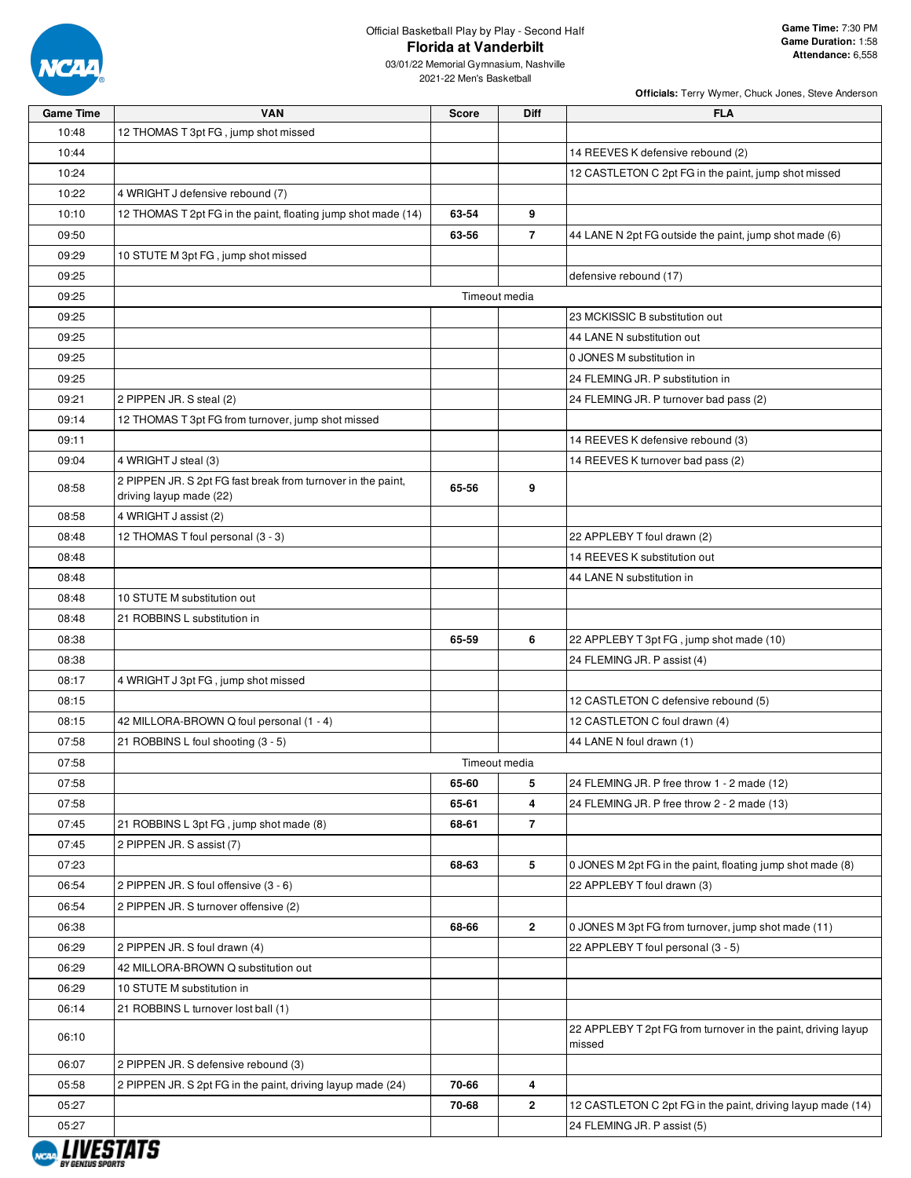

| <b>Game Time</b> | <b>VAN</b>                                                    | <b>Score</b> | Diff           | <b>FLA</b>                                                    |
|------------------|---------------------------------------------------------------|--------------|----------------|---------------------------------------------------------------|
| 10:48            | 12 THOMAS T 3pt FG, jump shot missed                          |              |                |                                                               |
| 10:44            |                                                               |              |                | 14 REEVES K defensive rebound (2)                             |
| 10:24            |                                                               |              |                | 12 CASTLETON C 2pt FG in the paint, jump shot missed          |
| 10:22            | 4 WRIGHT J defensive rebound (7)                              |              |                |                                                               |
| 10:10            | 12 THOMAS T 2pt FG in the paint, floating jump shot made (14) | 63-54        | 9              |                                                               |
| 09:50            |                                                               | 63-56        | $\overline{7}$ | 44 LANE N 2pt FG outside the paint, jump shot made (6)        |
| 09:29            | 10 STUTE M 3pt FG, jump shot missed                           |              |                |                                                               |
| 09:25            |                                                               |              |                | defensive rebound (17)                                        |
| 09:25            |                                                               |              | Timeout media  |                                                               |
| 09:25            |                                                               |              |                | 23 MCKISSIC B substitution out                                |
| 09:25            |                                                               |              |                | 44 LANE N substitution out                                    |
| 09:25            |                                                               |              |                | 0 JONES M substitution in                                     |
| 09:25            |                                                               |              |                | 24 FLEMING JR. P substitution in                              |
| 09:21            | 2 PIPPEN JR. S steal (2)                                      |              |                | 24 FLEMING JR. P turnover bad pass (2)                        |
| 09:14            | 12 THOMAS T 3pt FG from turnover, jump shot missed            |              |                |                                                               |
| 09:11            |                                                               |              |                | 14 REEVES K defensive rebound (3)                             |
| 09:04            | 4 WRIGHT J steal (3)                                          |              |                | 14 REEVES K turnover bad pass (2)                             |
|                  | 2 PIPPEN JR. S 2pt FG fast break from turnover in the paint,  |              |                |                                                               |
| 08:58            | driving layup made (22)                                       | 65-56        | 9              |                                                               |
| 08:58            | 4 WRIGHT J assist (2)                                         |              |                |                                                               |
| 08:48            | 12 THOMAS T foul personal (3 - 3)                             |              |                | 22 APPLEBY T foul drawn (2)                                   |
| 08:48            |                                                               |              |                | 14 REEVES K substitution out                                  |
| 08:48            |                                                               |              |                | 44 LANE N substitution in                                     |
| 08:48            | 10 STUTE M substitution out                                   |              |                |                                                               |
| 08:48            | 21 ROBBINS L substitution in                                  |              |                |                                                               |
| 08:38            |                                                               | 65-59        | 6              | 22 APPLEBY T 3pt FG, jump shot made (10)                      |
| 08:38            |                                                               |              |                | 24 FLEMING JR. P assist (4)                                   |
| 08:17            | 4 WRIGHT J 3pt FG, jump shot missed                           |              |                |                                                               |
| 08:15            |                                                               |              |                | 12 CASTLETON C defensive rebound (5)                          |
| 08:15            | 42 MILLORA-BROWN Q foul personal (1 - 4)                      |              |                | 12 CASTLETON C foul drawn (4)                                 |
| 07:58            | 21 ROBBINS L foul shooting (3 - 5)                            |              |                | 44 LANE N foul drawn (1)                                      |
| 07:58            |                                                               |              | Timeout media  |                                                               |
| 07:58            |                                                               | 65-60        | 5              | 24 FLEMING JR. P free throw 1 - 2 made (12)                   |
| 07:58            |                                                               | 65-61        | 4              | 24 FLEMING JR. P free throw 2 - 2 made (13)                   |
| 07:45            | 21 ROBBINS L 3pt FG, jump shot made (8)                       | 68-61        | $\overline{7}$ |                                                               |
| 07:45            | 2 PIPPEN JR. S assist (7)                                     |              |                |                                                               |
| 07:23            |                                                               | 68-63        | 5              | 0 JONES M 2pt FG in the paint, floating jump shot made (8)    |
| 06:54            | 2 PIPPEN JR. S foul offensive (3 - 6)                         |              |                | 22 APPLEBY T foul drawn (3)                                   |
| 06:54            | 2 PIPPEN JR. S turnover offensive (2)                         |              |                |                                                               |
| 06:38            |                                                               | 68-66        | 2              | 0 JONES M 3pt FG from turnover, jump shot made (11)           |
| 06:29            | 2 PIPPEN JR. S foul drawn (4)                                 |              |                | 22 APPLEBY T foul personal (3 - 5)                            |
| 06:29            | 42 MILLORA-BROWN Q substitution out                           |              |                |                                                               |
| 06:29            | 10 STUTE M substitution in                                    |              |                |                                                               |
| 06:14            | 21 ROBBINS L turnover lost ball (1)                           |              |                |                                                               |
| 06:10            |                                                               |              |                | 22 APPLEBY T 2pt FG from turnover in the paint, driving layup |
| 06:07            | 2 PIPPEN JR. S defensive rebound (3)                          |              |                | missed                                                        |
| 05:58            | 2 PIPPEN JR. S 2pt FG in the paint, driving layup made (24)   | 70-66        | 4              |                                                               |
| 05:27            |                                                               | 70-68        | 2              | 12 CASTLETON C 2pt FG in the paint, driving layup made (14)   |
| 05:27            |                                                               |              |                | 24 FLEMING JR. P assist (5)                                   |
|                  |                                                               |              |                |                                                               |

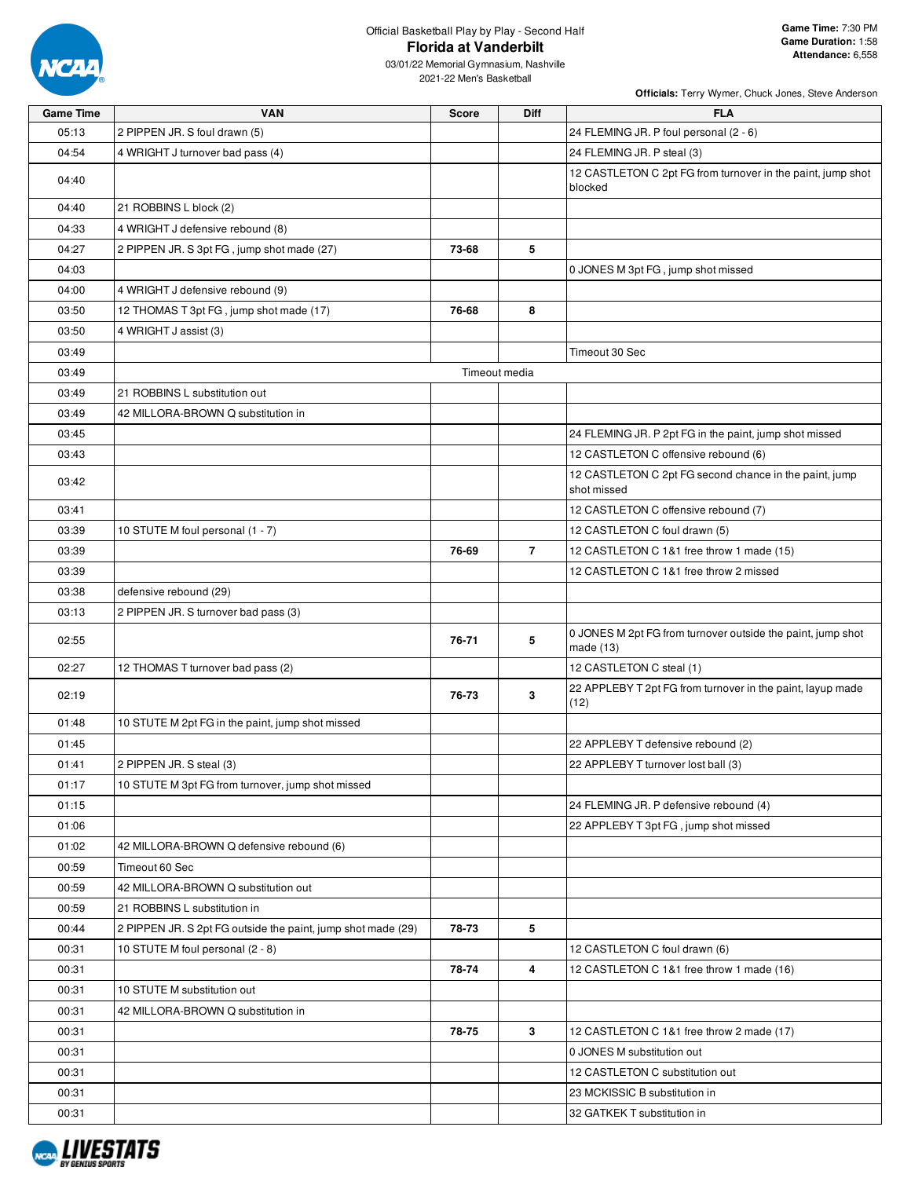

| <b>Game Time</b> | <b>VAN</b>                                                   | <b>Score</b>  | Diff           | <b>FLA</b>                                                               |
|------------------|--------------------------------------------------------------|---------------|----------------|--------------------------------------------------------------------------|
| 05:13            | 2 PIPPEN JR. S foul drawn (5)                                |               |                | 24 FLEMING JR. P foul personal (2 - 6)                                   |
| 04:54            | 4 WRIGHT J turnover bad pass (4)                             |               |                | 24 FLEMING JR. P steal (3)                                               |
| 04:40            |                                                              |               |                | 12 CASTLETON C 2pt FG from turnover in the paint, jump shot<br>blocked   |
| 04:40            | 21 ROBBINS L block (2)                                       |               |                |                                                                          |
| 04:33            | 4 WRIGHT J defensive rebound (8)                             |               |                |                                                                          |
| 04:27            | 2 PIPPEN JR. S 3pt FG, jump shot made (27)                   | 73-68         | 5              |                                                                          |
| 04:03            |                                                              |               |                | 0 JONES M 3pt FG, jump shot missed                                       |
| 04:00            | 4 WRIGHT J defensive rebound (9)                             |               |                |                                                                          |
| 03:50            | 12 THOMAS T 3pt FG, jump shot made (17)                      | 76-68         | 8              |                                                                          |
| 03:50            | 4 WRIGHT J assist (3)                                        |               |                |                                                                          |
| 03:49            |                                                              |               |                | Timeout 30 Sec                                                           |
| 03:49            |                                                              | Timeout media |                |                                                                          |
| 03:49            | 21 ROBBINS L substitution out                                |               |                |                                                                          |
| 03:49            | 42 MILLORA-BROWN Q substitution in                           |               |                |                                                                          |
| 03:45            |                                                              |               |                | 24 FLEMING JR. P 2pt FG in the paint, jump shot missed                   |
| 03:43            |                                                              |               |                | 12 CASTLETON C offensive rebound (6)                                     |
|                  |                                                              |               |                | 12 CASTLETON C 2pt FG second chance in the paint, jump                   |
| 03:42            |                                                              |               |                | shot missed                                                              |
| 03:41            |                                                              |               |                | 12 CASTLETON C offensive rebound (7)                                     |
| 03:39            | 10 STUTE M foul personal (1 - 7)                             |               |                | 12 CASTLETON C foul drawn (5)                                            |
| 03:39            |                                                              | 76-69         | $\overline{7}$ | 12 CASTLETON C 1&1 free throw 1 made (15)                                |
| 03:39            |                                                              |               |                | 12 CASTLETON C 1&1 free throw 2 missed                                   |
| 03:38            | defensive rebound (29)                                       |               |                |                                                                          |
| 03:13            | 2 PIPPEN JR. S turnover bad pass (3)                         |               |                |                                                                          |
| 02:55            |                                                              | 76-71         | 5              | 0 JONES M 2pt FG from turnover outside the paint, jump shot<br>made (13) |
| 02:27            | 12 THOMAS T turnover bad pass (2)                            |               |                | 12 CASTLETON C steal (1)                                                 |
| 02:19            |                                                              | 76-73         | 3              | 22 APPLEBY T 2pt FG from turnover in the paint, layup made<br>(12)       |
| 01:48            | 10 STUTE M 2pt FG in the paint, jump shot missed             |               |                |                                                                          |
| 01:45            |                                                              |               |                | 22 APPLEBY T defensive rebound (2)                                       |
| 01:41            | 2 PIPPEN JR. S steal (3)                                     |               |                | 22 APPLEBY T turnover lost ball (3)                                      |
| 01:17            | 10 STUTE M 3pt FG from turnover, jump shot missed            |               |                |                                                                          |
| 01:15            |                                                              |               |                | 24 FLEMING JR. P defensive rebound (4)                                   |
| 01:06            |                                                              |               |                | 22 APPLEBY T 3pt FG, jump shot missed                                    |
| 01:02            | 42 MILLORA-BROWN Q defensive rebound (6)                     |               |                |                                                                          |
| 00:59            | Timeout 60 Sec                                               |               |                |                                                                          |
| 00:59            | 42 MILLORA-BROWN Q substitution out                          |               |                |                                                                          |
| 00:59            | 21 ROBBINS L substitution in                                 |               |                |                                                                          |
| 00:44            | 2 PIPPEN JR. S 2pt FG outside the paint, jump shot made (29) | 78-73         | 5              |                                                                          |
| 00:31            | 10 STUTE M foul personal (2 - 8)                             |               |                | 12 CASTLETON C foul drawn (6)                                            |
| 00:31            |                                                              | 78-74         | 4              | 12 CASTLETON C 1&1 free throw 1 made (16)                                |
| 00:31            | 10 STUTE M substitution out                                  |               |                |                                                                          |
| 00:31            | 42 MILLORA-BROWN Q substitution in                           |               |                |                                                                          |
| 00:31            |                                                              | 78-75         | 3              | 12 CASTLETON C 1&1 free throw 2 made (17)                                |
| 00:31            |                                                              |               |                | 0 JONES M substitution out                                               |
| 00:31            |                                                              |               |                | 12 CASTLETON C substitution out                                          |
| 00:31            |                                                              |               |                | 23 MCKISSIC B substitution in                                            |
| 00:31            |                                                              |               |                | 32 GATKEK T substitution in                                              |

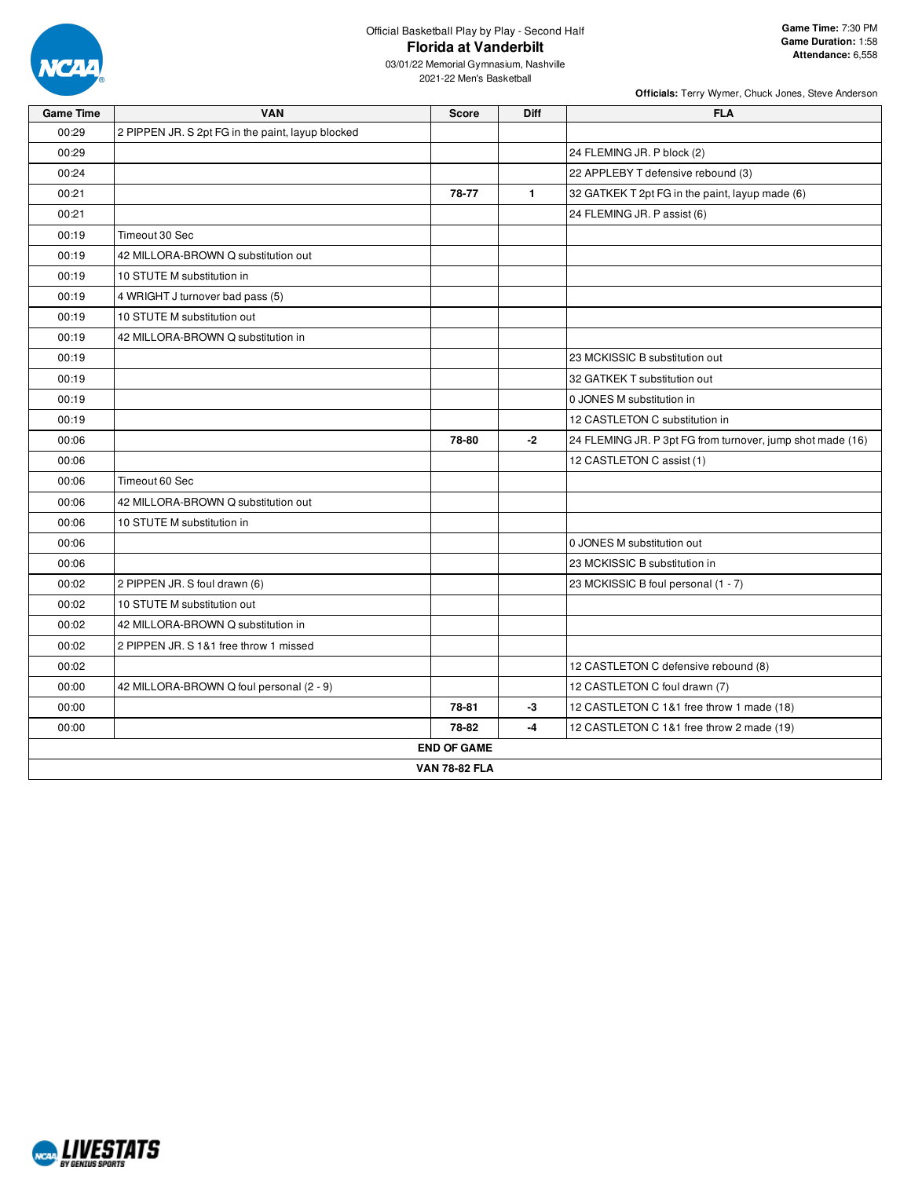

03/01/22 Memorial Gymnasium, Nashville 2021-22 Men's Basketball

| <b>Game Time</b> | <b>VAN</b>                                        | <b>Score</b>         | <b>Diff</b>  | <b>FLA</b>                                                 |
|------------------|---------------------------------------------------|----------------------|--------------|------------------------------------------------------------|
| 00:29            | 2 PIPPEN JR. S 2pt FG in the paint, layup blocked |                      |              |                                                            |
| 00:29            |                                                   |                      |              | 24 FLEMING JR. P block (2)                                 |
| 00:24            |                                                   |                      |              | 22 APPLEBY T defensive rebound (3)                         |
| 00:21            |                                                   | 78-77                | $\mathbf{1}$ | 32 GATKEK T 2pt FG in the paint, layup made (6)            |
| 00:21            |                                                   |                      |              | 24 FLEMING JR. P assist (6)                                |
| 00:19            | Timeout 30 Sec                                    |                      |              |                                                            |
| 00:19            | 42 MILLORA-BROWN Q substitution out               |                      |              |                                                            |
| 00:19            | 10 STUTE M substitution in                        |                      |              |                                                            |
| 00:19            | 4 WRIGHT J turnover bad pass (5)                  |                      |              |                                                            |
| 00:19            | 10 STUTE M substitution out                       |                      |              |                                                            |
| 00:19            | 42 MILLORA-BROWN Q substitution in                |                      |              |                                                            |
| 00:19            |                                                   |                      |              | 23 MCKISSIC B substitution out                             |
| 00:19            |                                                   |                      |              | 32 GATKEK T substitution out                               |
| 00:19            |                                                   |                      |              | 0 JONES M substitution in                                  |
| 00:19            |                                                   |                      |              | 12 CASTLETON C substitution in                             |
| 00:06            |                                                   | 78-80                | -2           | 24 FLEMING JR. P 3pt FG from turnover, jump shot made (16) |
| 00:06            |                                                   |                      |              | 12 CASTLETON C assist (1)                                  |
| 00:06            | Timeout 60 Sec                                    |                      |              |                                                            |
| 00:06            | 42 MILLORA-BROWN Q substitution out               |                      |              |                                                            |
| 00:06            | 10 STUTE M substitution in                        |                      |              |                                                            |
| 00:06            |                                                   |                      |              | 0 JONES M substitution out                                 |
| 00:06            |                                                   |                      |              | 23 MCKISSIC B substitution in                              |
| 00:02            | 2 PIPPEN JR. S foul drawn (6)                     |                      |              | 23 MCKISSIC B foul personal (1 - 7)                        |
| 00:02            | 10 STUTE M substitution out                       |                      |              |                                                            |
| 00:02            | 42 MILLORA-BROWN Q substitution in                |                      |              |                                                            |
| 00:02            | 2 PIPPEN JR. S 1&1 free throw 1 missed            |                      |              |                                                            |
| 00:02            |                                                   |                      |              | 12 CASTLETON C defensive rebound (8)                       |
| 00:00            | 42 MILLORA-BROWN Q foul personal (2 - 9)          |                      |              | 12 CASTLETON C foul drawn (7)                              |
| 00:00            |                                                   | 78-81                | -3           | 12 CASTLETON C 1&1 free throw 1 made (18)                  |
| 00:00            |                                                   | 78-82                | $-4$         | 12 CASTLETON C 1&1 free throw 2 made (19)                  |
|                  |                                                   | <b>END OF GAME</b>   |              |                                                            |
|                  |                                                   | <b>VAN 78-82 FLA</b> |              |                                                            |

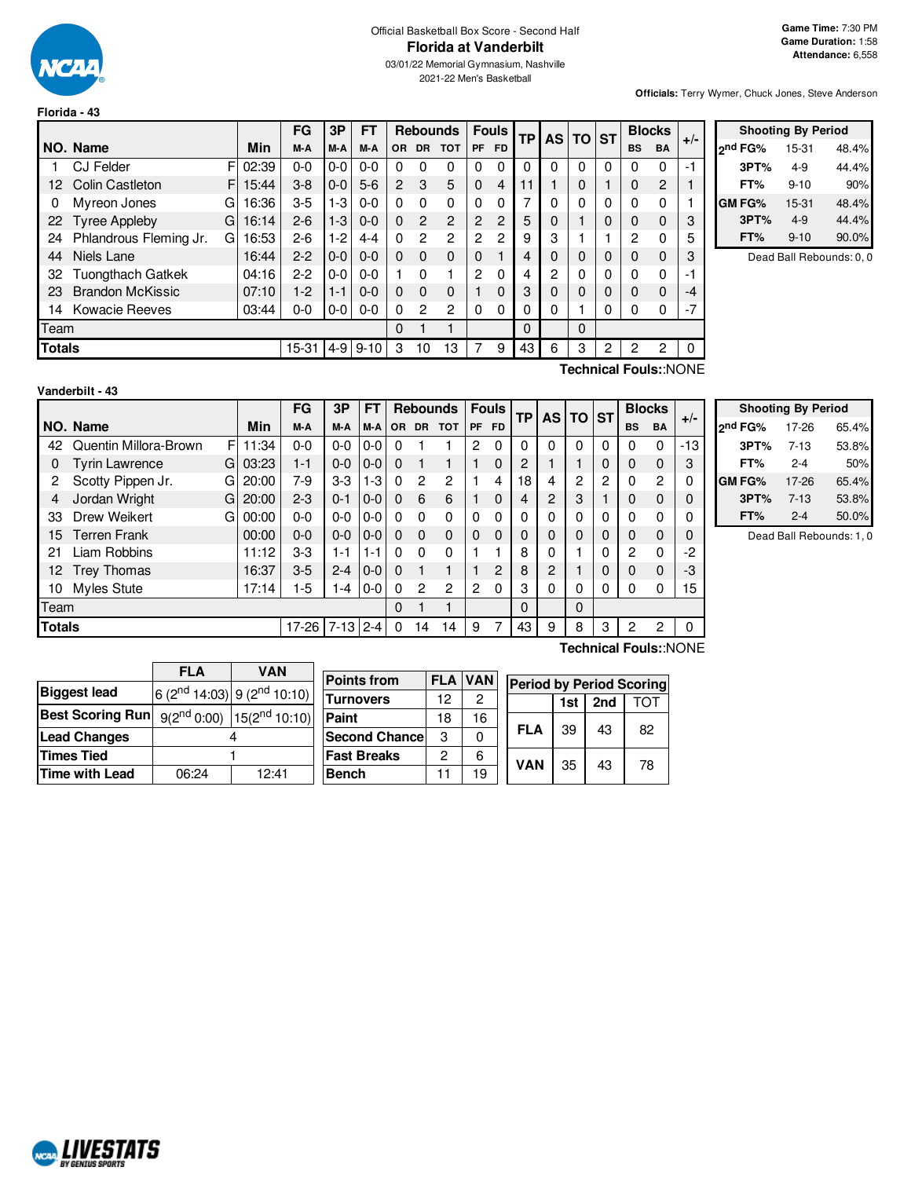

# Official Basketball Box Score - Second Half **Florida at Vanderbilt**

03/01/22 Memorial Gymnasium, Nashville 2021-22 Men's Basketball

**Officials:** Terry Wymer, Chuck Jones, Steve Anderson

|               |                             |             | FG        | 3P      | <b>FT</b> |                |                | <b>Rebounds</b> |              | <b>Fouls</b> | <b>TP</b> | <b>AS</b> | <b>TO</b> | <b>ST</b> | <b>Blocks</b> |              | $+/-$ |
|---------------|-----------------------------|-------------|-----------|---------|-----------|----------------|----------------|-----------------|--------------|--------------|-----------|-----------|-----------|-----------|---------------|--------------|-------|
|               | NO. Name                    | Min         | M-A       | M-A     | M-A       | OR.            | <b>DR</b>      | <b>TOT</b>      | <b>PF</b>    | FD.          |           |           |           |           | <b>BS</b>     | <b>BA</b>    |       |
|               | <b>CJ Felder</b>            | FI<br>02:39 | $0 - 0$   | $0-0$   | $0 - 0$   | 0              | 0              | 0               | 0            | 0            | $\Omega$  | 0         | 0         | 0         | 0             | 0            | -1    |
| 12            | <b>Colin Castleton</b>      | 15:44<br>F. | $3 - 8$   | $0 - 0$ | $5-6$     | $\overline{2}$ | 3              | 5               | $\Omega$     | 4            | 11        |           | $\Omega$  |           | 0             | 2            |       |
| 0             | Myreon Jones<br>G           | 16:36       | $3-5$     | $1-3$   | $0 - 0$   | $\Omega$       | 0              | 0               | 0            | 0            |           | 0         | $\Omega$  | 0         | 0             | $\mathbf{0}$ |       |
| 22            | <b>Tyree Appleby</b><br>G   | 16:14       | $2 - 6$   | $1-3$   | $0 - 0$   | $\Omega$       | $\overline{2}$ | $\overline{2}$  | 2            | 2            | 5         | 0         |           | 0         | 0             | $\Omega$     | 3     |
| 24            | Phlandrous Fleming Jr.<br>G | 16:53       | $2-6$     | $1-2$   | $4 - 4$   | $\Omega$       | 2              | 2               | 2            | 2            | 9         | 3         |           |           | 2             | $\mathbf{0}$ | 5     |
| 44            | Niels Lane                  | 16:44       | $2 - 2$   | $0 - 0$ | $0 - 0$   | $\Omega$       | $\Omega$       | $\Omega$        | 0            |              | 4         | 0         | $\Omega$  | 0         | 0             | $\Omega$     | 3     |
| 32            | <b>Tuongthach Gatkek</b>    | 04:16       | $2-2$     | $0-0$   | $0 - 0$   |                | O              |                 | 2            | 0            | 4         | 2         | 0         | 0         | 0             | $\Omega$     | -1    |
| 23            | <b>Brandon McKissic</b>     | 07:10       | $1-2$     | $1 - 1$ | $0 - 0$   | $\Omega$       | $\Omega$       | 0               |              | 0            | 3         | 0         | $\Omega$  | 0         | 0             | $\Omega$     | -4    |
| 14            | <b>Kowacie Reeves</b>       | 03:44       | $0-0$     | $0-0$   | $0 - 0$   | $\Omega$       | 2              | 2               | $\mathbf{0}$ | 0            | 0         | 0         |           | 0         | 0             | 0            | $-7$  |
| Team          |                             |             |           |         |           | 0              |                | 1               |              |              | $\Omega$  |           | $\Omega$  |           |               |              |       |
| <b>Totals</b> |                             |             | $15 - 31$ | $4-9$   | $9 - 10$  | 3              | 10             | 13              | 7            | 9            | 43        | 6         | 3         | 2         | 2             | 2            | 0     |
|               |                             |             |           |         |           |                |                |                 |              |              |           |           |           |           |               |              |       |

| <b>Shooting By Period</b> |          |       |  |  |  |  |  |  |
|---------------------------|----------|-------|--|--|--|--|--|--|
| ond FG%                   | 15-31    | 48.4% |  |  |  |  |  |  |
| 3PT%                      | 4-9      | 44.4% |  |  |  |  |  |  |
| FT%                       | $9 - 10$ | 90%   |  |  |  |  |  |  |
| <b>GM FG%</b>             | 15-31    | 48.4% |  |  |  |  |  |  |
| 3PT%                      | $4-9$    | 44.4% |  |  |  |  |  |  |
| FT%                       | $9 - 10$ | 90.0% |  |  |  |  |  |  |

Dead Ball Rebounds: 0, 0

| Vanderbilt - 43 |
|-----------------|
|-----------------|

**Technical Fouls:**:NONE

|    |                                        |    |            | FG      | 3Р      | FТ      |           |                | <b>Rebounds</b> |                | <b>Fouls</b> | <b>TP</b> | <b>AS</b> | TO.      | <b>ST</b> |                | <b>Blocks</b>  |                       |
|----|----------------------------------------|----|------------|---------|---------|---------|-----------|----------------|-----------------|----------------|--------------|-----------|-----------|----------|-----------|----------------|----------------|-----------------------|
|    | NO. Name                               |    | <b>Min</b> | M-A     | M-A     | M-A     | <b>OR</b> | <b>DR</b>      | <b>TOT</b>      | <b>PF</b>      | <b>FD</b>    |           |           |          |           | <b>BS</b>      | <b>BA</b>      | $+/-$                 |
| 42 | Quentin Millora-Brown                  | F  | 11:34      | $0 - 0$ | $0-0$   | $0-0$   | 0         |                |                 | $\overline{c}$ | $\Omega$     | $\Omega$  | $\Omega$  | $\Omega$ | $\Omega$  | $\Omega$       | $\Omega$       | -13                   |
| 0  | <b>Tyrin Lawrence</b>                  | GI | 03:23      | $1 - 1$ | $0 - 0$ | $0-0$   | $\Omega$  |                |                 |                | 0            | 2         |           |          |           | $\Omega$       | $\Omega$       | 3                     |
| 2  | Scotty Pippen Jr.                      | G  | 20:00      | 7-9     | $3-3$   | $1 - 3$ | 0         | $\overline{c}$ | 2               |                | 4            | 18        | 4         | 2        | 2         | 0              | $\overline{c}$ | 0                     |
| 4  | Jordan Wright                          | GI | 20:00      | $2 - 3$ | $0 - 1$ | $0-0$   | $\Omega$  | 6              | 6               |                | 0            | 4         | 2         | 3        |           | 0              | 0              | 0                     |
| 33 | Drew Weikert                           | G  | 00:00      | $0 - 0$ | $0-0$   | $0-0$   | $\Omega$  | $\Omega$       | 0               | 0              | 0            |           |           | 0        |           | $\Omega$       | 0              | 0                     |
| 15 | <b>Terren Frank</b>                    |    | 00:00      | $0 - 0$ | $0 - 0$ | $0-0$   | $\Omega$  | $\Omega$       | 0               | $\Omega$       | 0            | 0         | 0         | 0        | 0         | $\Omega$       | $\Omega$       | 0                     |
| 21 | Liam Robbins                           |    | 11:12      | $3-3$   | 1-1     | $1 - 1$ | 0         | $\Omega$       | 0               |                |              | 8         | 0         |          | 0         | $\overline{2}$ | $\Omega$       | -2                    |
| 12 | <b>Trey Thomas</b>                     |    | 16:37      | $3-5$   | $2 - 4$ | $0-0$   | $\Omega$  |                |                 |                | 2            | 8         | 2         |          |           | $\Omega$       | $\Omega$       | -3                    |
| 10 | Myles Stute                            |    | 17:14      | $1 - 5$ | 1-4     | $0-0$   | 0         | 2              | 2               | 2              | 0            | 3         | 0         | 0        | 0         | $\Omega$       | $\Omega$       | 15                    |
|    | Team                                   |    |            |         |         |         |           |                | ۰               |                |              | $\Omega$  |           | 0        |           |                |                |                       |
|    | <b>Totals</b><br>$7-13$ 2-4<br>$17-26$ |    |            |         |         |         |           | 14             | 14              | 9              | 7            | 43        | 9         | 8        | 3         | 2              | 2              | 0                     |
|    |                                        |    |            |         |         |         |           |                |                 |                |              |           |           |          |           |                |                | Technical Fouls::NONE |

|              | <b>Shooting By Period</b> |       |
|--------------|---------------------------|-------|
| 2nd FG%      | 17-26                     | 65.4% |
| 3PT%         | $7 - 13$                  | 53.8% |
| FT%          | $2 - 4$                   | 50%   |
| <b>GMFG%</b> | 17-26                     | 65.4% |
| 3PT%         | $7 - 13$                  | 53.8% |
| FT%          | $2 - 4$                   | 50.0% |

Dead Ball Rebounds: 1, 0

|                                                             | <b>FLA</b> | VAN                                         |                       |    |                |                                 |     |     |     |
|-------------------------------------------------------------|------------|---------------------------------------------|-----------------------|----|----------------|---------------------------------|-----|-----|-----|
|                                                             |            |                                             | <b>Points from</b>    |    | <b>FLA VAN</b> |                                 |     |     |     |
| <b>Biggest lead</b>                                         |            |                                             |                       |    |                | <b>Period by Period Scoring</b> |     |     |     |
|                                                             |            | $6(2^{nd} 14:03)$ 9 (2 <sup>nd</sup> 10:10) | <b>Turnovers</b>      | 12 | 2              |                                 | 1st | 2nd | тот |
| <b>Best Scoring Run</b> $9(2^{nd} 0:00)$ $15(2^{nd} 10:10)$ |            |                                             | Paint                 | 18 | 16             |                                 |     |     |     |
| <b>Lead Changes</b>                                         |            |                                             | <b>Second Chancel</b> | 3  | 0              | <b>FLA</b>                      | 39  | 43  | 82  |
| <b>Times Tied</b>                                           |            |                                             | <b>Fast Breaks</b>    | 2  | 6              | <b>VAN</b>                      | 35  | 43  | 78  |
| <b>Time with Lead</b>                                       | 06:24      | 12:41                                       | <b>Bench</b>          |    | 19             |                                 |     |     |     |

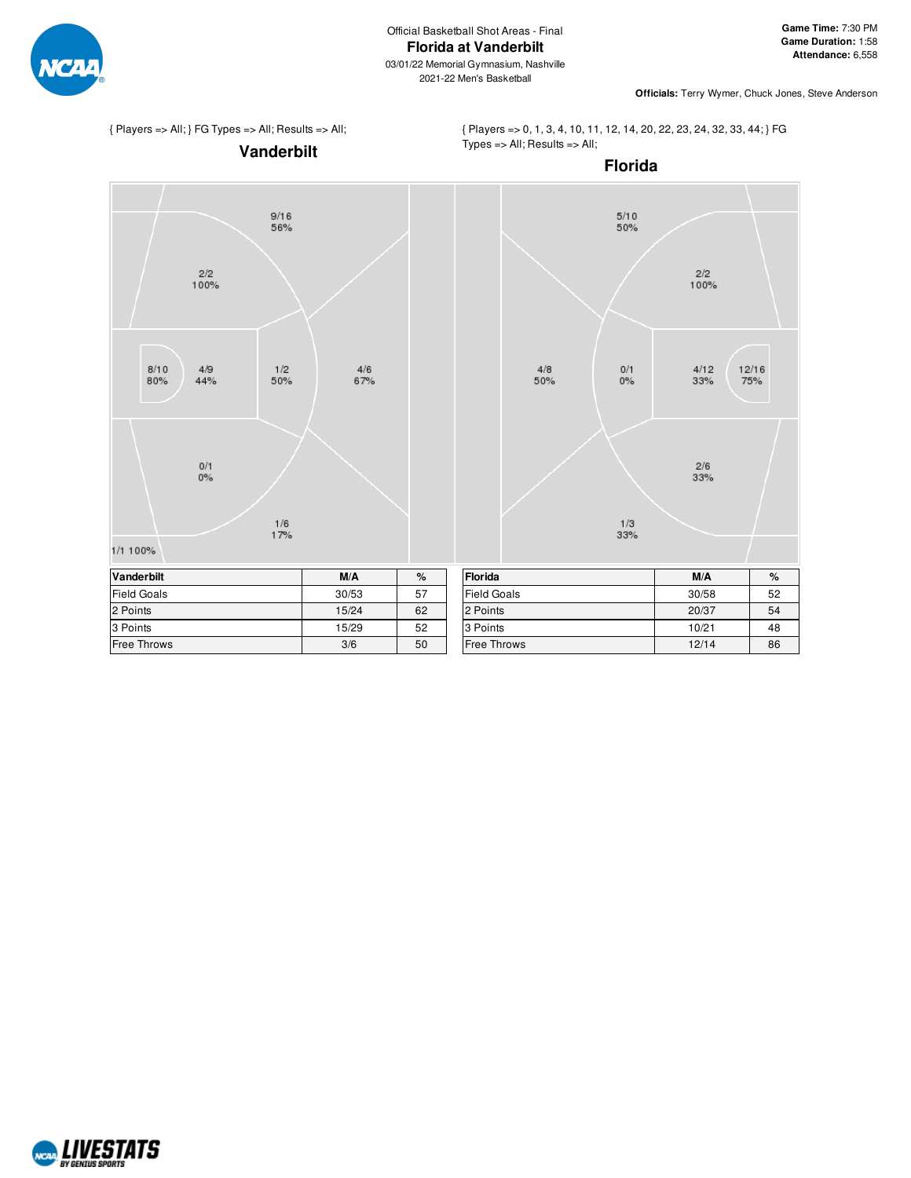

2021-22 Men's Basketball

**Officials:** Terry Wymer, Chuck Jones, Steve Anderson

{ Players => All; } FG Types => All; Results => All;

 $\frac{2}{2}$ <br>100%

 $4/9$ 

 $44%$ 

 $0/1$ <br> $0%$ 

 $8/10$ 

 $80\%$ 

1/1 100%

 $9/16$ 

56%

 $\frac{1}{2}$ <br>50%

 $\frac{1/6}{17%}$ 

**Vanderbilt** { Players => 0, 1, 3, 4, 10, 11, 12, 14, 20, 22, 23, 24, 32, 33, 44; } FG  $Types = All; Results => All;$ 



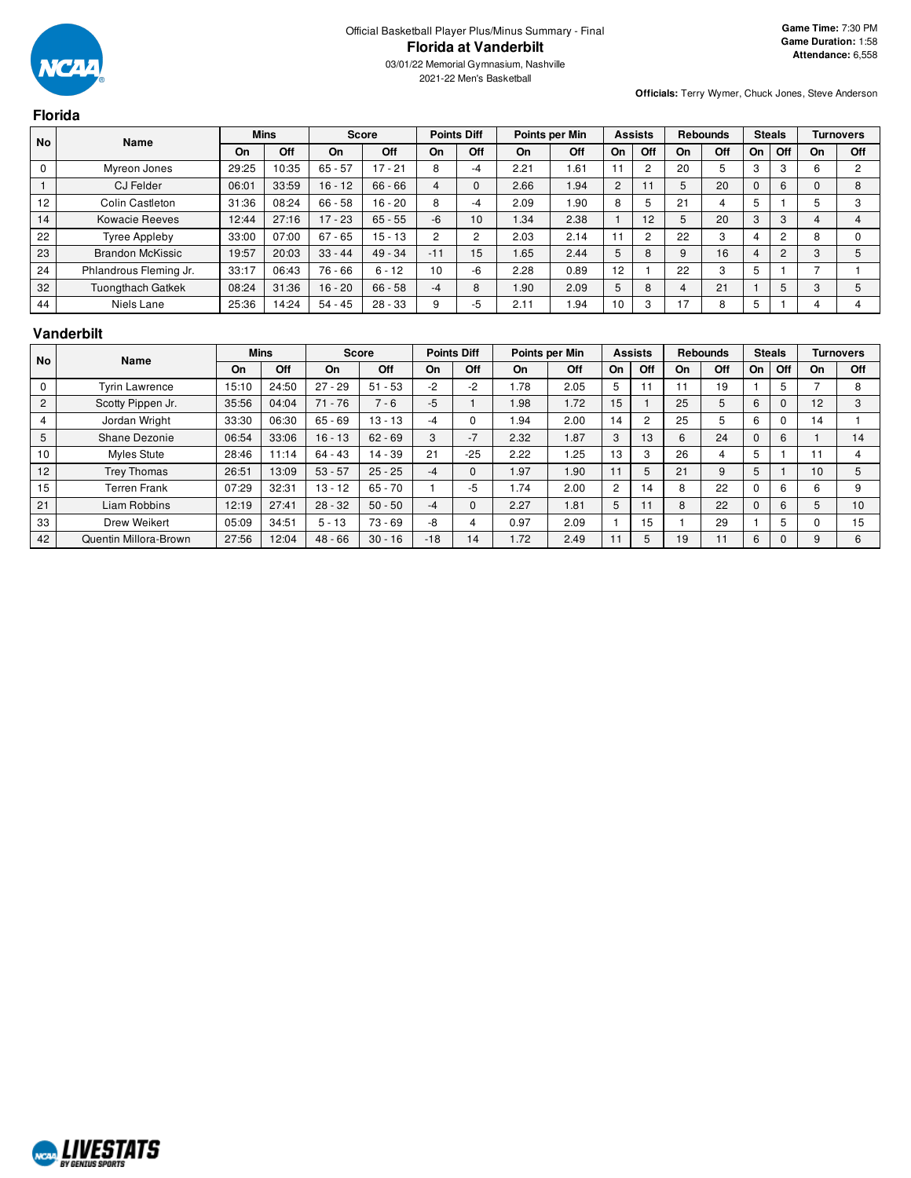**Florida**

03/01/22 Memorial Gymnasium, Nashville 2021-22 Men's Basketball

**Officials:** Terry Wymer, Chuck Jones, Steve Anderson

| <b>No</b><br>Name |                          |       | <b>Mins</b> | <b>Score</b> |           | <b>Points Diff</b> |     | Points per Min |      | <b>Assists</b> |                | <b>Rebounds</b> |     | <b>Steals</b> |                |    | <b>Turnovers</b> |
|-------------------|--------------------------|-------|-------------|--------------|-----------|--------------------|-----|----------------|------|----------------|----------------|-----------------|-----|---------------|----------------|----|------------------|
|                   |                          | On    | Off         | On           | Off       | On                 | Off | On             | Off  | On             | Off            | On              | Off | On            | Off            | On | Off              |
| 0                 | Myreon Jones             | 29:25 | 10:35       | $65 - 57$    | $17 - 21$ | 8                  | -4  | 2.21           | 1.61 |                | 2              | 20              |     | 3             | 3              | 6  | 2                |
|                   | <b>CJ Felder</b>         | 06:01 | 33:59       | $16 - 12$    | $66 - 66$ | 4                  | 0   | 2.66           | 1.94 | 2              |                |                 | 20  |               | 6              |    | 8                |
| 12                | Colin Castleton          | 31:36 | 08:24       | $66 - 58$    | $16 - 20$ | 8                  | -4  | 2.09           | 1.90 | 8              | 5              | 21              |     |               |                |    | 3                |
| 14                | <b>Kowacie Reeves</b>    | 12:44 | 27:16       | $17 - 23$    | $65 - 55$ | -6                 | 10  | 1.34           | 2.38 |                | 12             |                 | 20  | 3             | 3              |    |                  |
| 22                | Tyree Appleby            | 33:00 | 07:00       | $67 - 65$    | $15 - 13$ | $\overline{2}$     | 2   | 2.03           | 2.14 |                | $\overline{2}$ | 22              | 3   |               | $\overline{c}$ | ö  | $\Omega$         |
| 23                | <b>Brandon McKissic</b>  | 19:57 | 20:03       | $33 - 44$    | $49 - 34$ | $-11$              | 15  | 1.65           | 2.44 | 5              | 8              |                 | 16  | 4             | $\overline{2}$ | 3  | 5                |
| 24                | Phlandrous Fleming Jr.   | 33:17 | 06:43       | $76 - 66$    | $6 - 12$  | 10                 | -6  | 2.28           | 0.89 | 12             |                | 22              | 3   |               |                |    |                  |
| 32                | <b>Tuongthach Gatkek</b> | 08:24 | 31:36       | $16 - 20$    | $66 - 58$ | $-4$               | 8   | .90            | 2.09 | 5              | 8              | 4               | 21  |               | 5              | 3  | 5                |
| 44                | Niels Lane               | 25:36 | 14:24       | $54 - 45$    | $28 - 33$ | 9                  | -5  | 2.11           | 94   | 10             | 3              | 17              | 8   | 5             |                |    | 4                |

#### **Vanderbilt**

| <b>No</b>      | Name                  |       | <b>Mins</b> |           | Score     |       | <b>Points Diff</b> |      | Points per Min |    | <b>Assists</b> |    | <b>Rebounds</b> |    | <b>Steals</b> |                      | <b>Turnovers</b> |
|----------------|-----------------------|-------|-------------|-----------|-----------|-------|--------------------|------|----------------|----|----------------|----|-----------------|----|---------------|----------------------|------------------|
|                |                       | On    | Off         | On        | Off       | On    | Off                | On   | Off            | On | Off            | On | Off             | On | Off           | On                   | Off              |
| $\Omega$       | <b>Tyrin Lawrence</b> | 15:10 | 24:50       | $27 - 29$ | $51 - 53$ | -2    | -2                 | . 78 | 2.05           | 5  | 11             |    | 19              |    | 5             |                      | 8                |
| $\overline{2}$ | Scotty Pippen Jr.     | 35:56 | 04:04       | $71 - 76$ | $7 - 6$   | $-5$  |                    | .98  | 1.72           | 15 |                | 25 |                 |    | $\Omega$      | 12                   | 3                |
| 4              | Jordan Wright         | 33:30 | 06:30       | $65 - 69$ | $13 - 13$ | -4    |                    | .94  | 2.00           | 14 | $\overline{c}$ | 25 |                 |    | $\Omega$      | 14                   |                  |
| 5              | Shane Dezonie         | 06:54 | 33:06       | $16 - 13$ | $62 - 69$ | 3     | $-7$               | 2.32 | 1.87           | 3  | 13             | 6  | 24              |    | 6             |                      | 14               |
| 10             | <b>Myles Stute</b>    | 28:46 | 11:14       | $64 - 43$ | $14 - 39$ | 21    | $-25$              | 2.22 | .25            | 13 | 3              | 26 |                 | 5  |               | 11                   |                  |
| 12             | Trey Thomas           | 26:51 | 13:09       | $53 - 57$ | $25 - 25$ | $-4$  |                    | .97  | 1.90           |    | 5              | 21 | 9               | 5  |               | 10                   | 5                |
| 15             | <b>Terren Frank</b>   | 07:29 | 32:31       | 13 - 12   | $65 - 70$ |       | -5                 | .74  | 2.00           | 2  | 14             |    | 22              |    | 6             | 6                    | 9                |
| 21             | Liam Robbins          | 12:19 | 27:41       | $28 - 32$ | $50 - 50$ | -4    |                    | 2.27 | 1.81           | 5  |                |    | 22              |    | 6             | $\ddot{\phantom{1}}$ | 10               |
| 33             | Drew Weikert          | 05:09 | 34:51       | $5 - 13$  | $73 - 69$ | -8    |                    | 0.97 | 2.09           |    | 15             |    | 29              |    | 5             |                      | 15               |
| 42             | Quentin Millora-Brown | 27:56 | 12:04       | $48 - 66$ | $30 - 16$ | $-18$ | 14                 | 1.72 | 2.49           |    | 5              | 19 |                 | 6  |               | 9                    | 6                |

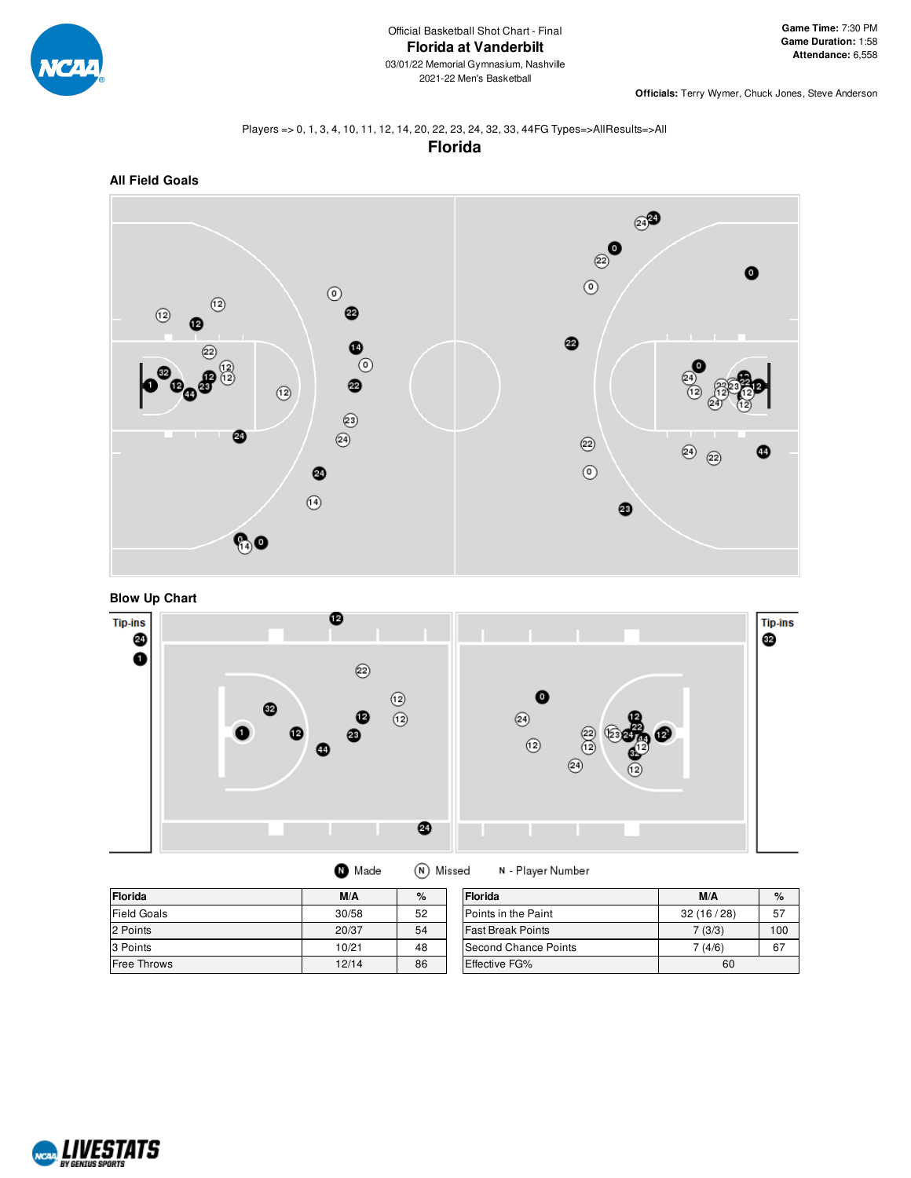

**Officials:** Terry Wymer, Chuck Jones, Steve Anderson

#### Players => 0, 1, 3, 4, 10, 11, 12, 14, 20, 22, 23, 24, 32, 33, 44FG Types=>AllResults=>All **Florida**



**Blow Up Chart**



| Florida            | M/A   | %  | Florida                  | M/A       | $\%$ |
|--------------------|-------|----|--------------------------|-----------|------|
| <b>Field Goals</b> | 30/58 | 52 | Points in the Paint      | 32(16/28) | 57   |
| 2 Points           | 20/37 | 54 | <b>Fast Break Points</b> | 7(3/3)    | 100  |
| 3 Points           | 10/21 | 48 | Second Chance Points     | 7 (4/6)   | 67   |
| <b>Free Throws</b> | 12/14 | 86 | <b>Effective FG%</b>     | 60        |      |

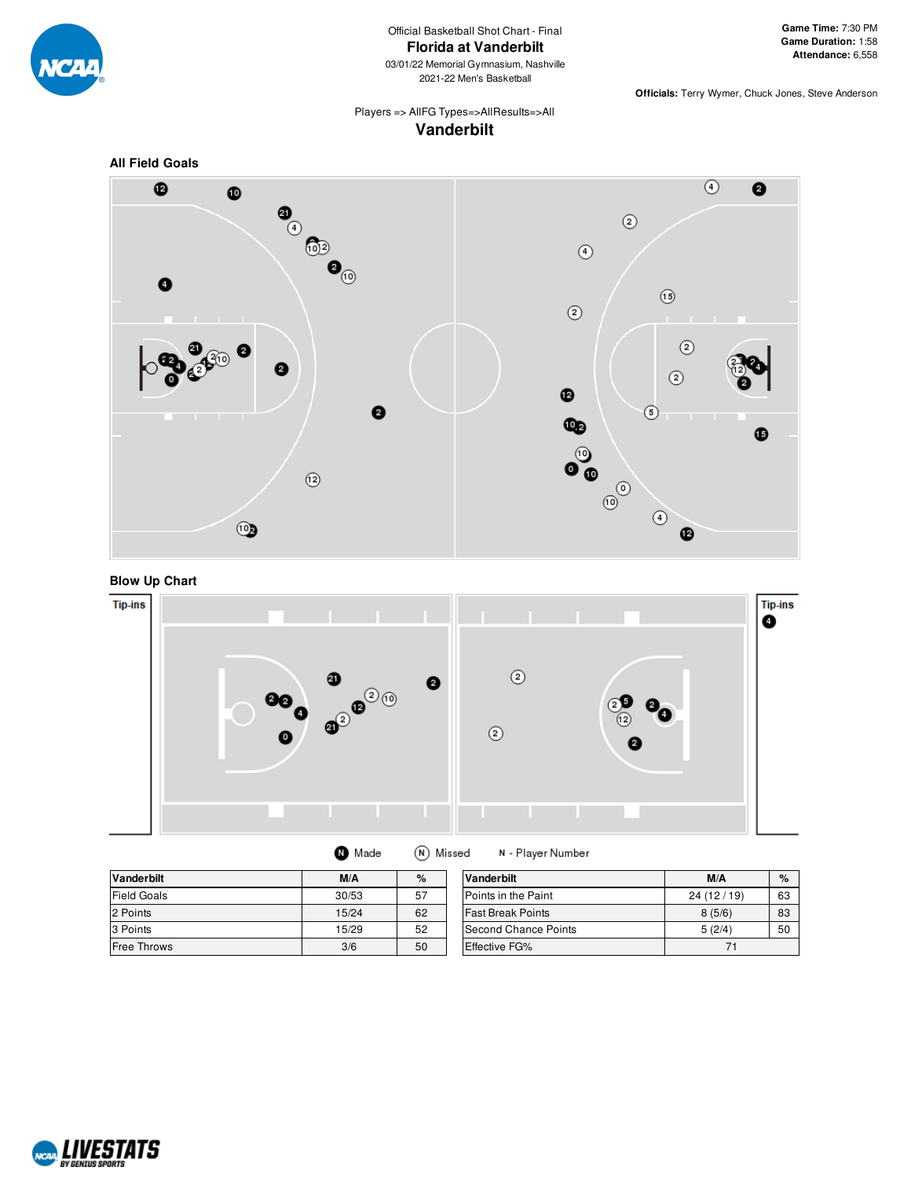

2021-22 Men's Basketball

**Officials:** Terry Wymer, Chuck Jones, Steve Anderson

# Players => AllFG Types=>AllResults=>All **Vanderbilt**







| Made | (N) Missed | Ν- |
|------|------------|----|
|------|------------|----|

Player Number **Vanderbilt M/A %**  $\begin{array}{|c|c|c|c|}\n\hline\n\text{nt} & \text{24 (12 / 19)} & \text{63} \\
\hline\n\text{8 (5/6)} & \text{83} \\
\hline\n\end{array}$ 8 (5/6) 83 Points 5 (2/4) 50

| <b>Vanderbilt</b>  | M/A   | $\%$ | Vanderbilt               | M/A        |
|--------------------|-------|------|--------------------------|------------|
| <b>Field Goals</b> | 30/53 | 57   | Points in the Paint      | 24 (12/19) |
| 2 Points           | 15/24 | 62   | <b>Fast Break Points</b> | 8(5/6)     |
| 3 Points           | 15/29 | 52   | Second Chance Points     | 5(2/4)     |
| <b>Free Throws</b> | 3/6   | 50   | Effective FG%            | 71         |

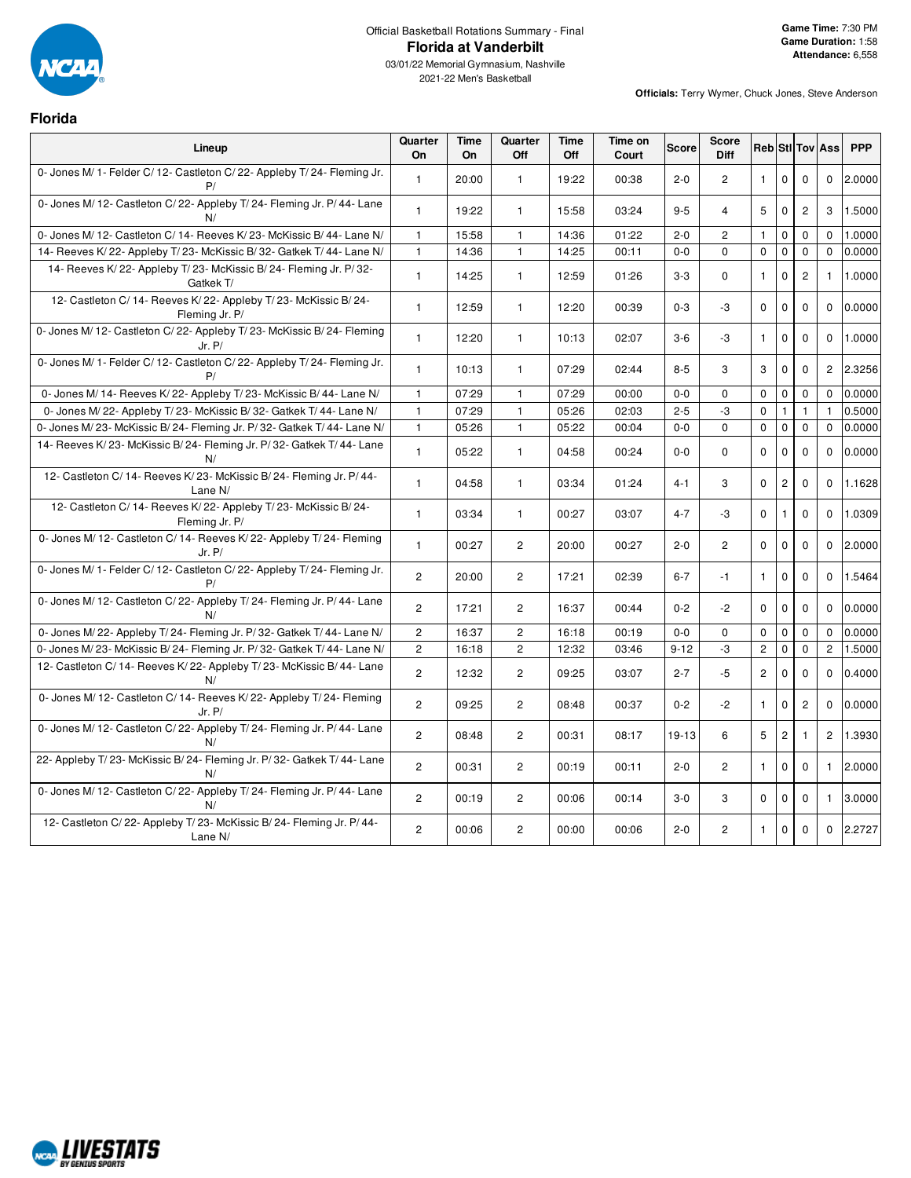

**Florida**

# Official Basketball Rotations Summary - Final **Florida at Vanderbilt**

| Lineup                                                                            | Quarter<br>On  | <b>Time</b><br>On | Quarter<br>Off | <b>Time</b><br>Off | Time on<br>Court | <b>Score</b> | <b>Score</b><br><b>Diff</b> |                |                |                | <b>Reb</b> Stl Tov Ass | <b>PPP</b> |
|-----------------------------------------------------------------------------------|----------------|-------------------|----------------|--------------------|------------------|--------------|-----------------------------|----------------|----------------|----------------|------------------------|------------|
| 0- Jones M/ 1- Felder C/ 12- Castleton C/ 22- Appleby T/ 24- Fleming Jr.<br>P/    | $\mathbf{1}$   | 20:00             | $\mathbf{1}$   | 19:22              | 00:38            | $2 - 0$      | $\overline{2}$              | $\mathbf{1}$   | $\mathbf 0$    | $\mathbf 0$    | $\mathbf 0$            | 2.0000     |
| 0- Jones M/ 12- Castleton C/ 22- Appleby T/ 24- Fleming Jr. P/ 44- Lane<br>N/     | $\mathbf{1}$   | 19:22             | $\mathbf{1}$   | 15:58              | 03:24            | $9 - 5$      | 4                           | 5              | $\mathbf 0$    | $\overline{c}$ | 3                      | 1.5000     |
| 0- Jones M/ 12- Castleton C/ 14- Reeves K/ 23- McKissic B/ 44- Lane N/            | $\mathbf{1}$   | 15:58             | $\mathbf{1}$   | 14:36              | 01:22            | $2 - 0$      | $\overline{2}$              | $\mathbf{1}$   | $\mathbf 0$    | $\mathbf 0$    | $\Omega$               | 1.0000     |
| 14- Reeves K/22- Appleby T/23- McKissic B/32- Gatkek T/44- Lane N/                | $\mathbf{1}$   | 14:36             | $\mathbf{1}$   | 14:25              | 00:11            | $0 - 0$      | $\Omega$                    | $\Omega$       | $\mathbf 0$    | $\mathbf 0$    | $\mathbf 0$            | 0.0000     |
| 14- Reeves K/22- Appleby T/23- McKissic B/24- Fleming Jr. P/32-<br>Gatkek T/      | $\mathbf{1}$   | 14:25             | $\mathbf{1}$   | 12:59              | 01:26            | $3-3$        | $\mathbf 0$                 | $\mathbf{1}$   | $\mathbf 0$    | $\overline{c}$ | $\mathbf{1}$           | 1.0000     |
| 12- Castleton C/14- Reeves K/22- Appleby T/23- McKissic B/24-<br>Fleming Jr. P/   | $\mathbf{1}$   | 12:59             | $\mathbf{1}$   | 12:20              | 00:39            | $0 - 3$      | -3                          | $\mathbf 0$    | 0              | $\mathbf 0$    | $\mathbf 0$            | 0.0000     |
| 0- Jones M/ 12- Castleton C/ 22- Appleby T/ 23- McKissic B/ 24- Fleming<br>Jr. P/ | $\mathbf{1}$   | 12:20             | $\mathbf{1}$   | 10:13              | 02:07            | $3-6$        | -3                          | $\mathbf{1}$   | 0              | $\Omega$       | $\Omega$               | 1.0000     |
| 0- Jones M/ 1- Felder C/ 12- Castleton C/ 22- Appleby T/ 24- Fleming Jr.<br>P/    | $\mathbf{1}$   | 10:13             | $\mathbf{1}$   | 07:29              | 02:44            | $8 - 5$      | 3                           | 3              | $\mathbf 0$    | $\mathbf 0$    | $\overline{2}$         | 2.3256     |
| 0- Jones M/ 14- Reeves K/ 22- Appleby T/ 23- McKissic B/ 44- Lane N/              | $\mathbf{1}$   | 07:29             | $\mathbf{1}$   | 07:29              | 00:00            | $0-0$        | $\mathbf 0$                 | $\mathbf 0$    | $\mathbf 0$    | $\mathbf 0$    | $\mathbf 0$            | 0.0000     |
| 0- Jones M/22- Appleby T/23- McKissic B/32- Gatkek T/44- Lane N/                  | $\mathbf{1}$   | 07:29             | 1              | 05:26              | 02:03            | $2 - 5$      | -3                          | $\mathbf 0$    | $\mathbf{1}$   | $\mathbf{1}$   | $\mathbf{1}$           | 0.5000     |
| 0- Jones M/23- McKissic B/24- Fleming Jr. P/32- Gatkek T/44- Lane N/              | $\mathbf{1}$   | 05:26             | $\mathbf{1}$   | 05:22              | 00:04            | $0 - 0$      | $\Omega$                    | $\mathbf 0$    | $\mathbf 0$    | 0              | $\mathbf 0$            | 0.0000     |
| 14- Reeves K/23- McKissic B/24- Fleming Jr. P/32- Gatkek T/44- Lane<br>N/         | $\mathbf{1}$   | 05:22             | $\mathbf{1}$   | 04:58              | 00:24            | $0-0$        | $\mathbf 0$                 | $\mathbf 0$    | $\mathbf 0$    | $\mathbf 0$    | $\mathbf 0$            | 0.0000     |
| 12- Castleton C/ 14- Reeves K/ 23- McKissic B/ 24- Fleming Jr. P/ 44-<br>Lane N/  | $\mathbf{1}$   | 04:58             | $\mathbf{1}$   | 03:34              | 01:24            | 4-1          | 3                           | $\Omega$       | $\overline{c}$ | $\Omega$       | $\Omega$               | 1.1628     |
| 12- Castleton C/14- Reeves K/22- Appleby T/23- McKissic B/24-<br>Fleming Jr. P/   | $\mathbf{1}$   | 03:34             | 1              | 00:27              | 03:07            | $4 - 7$      | -3                          | $\Omega$       | 1              | $\mathbf 0$    | 0                      | 1.0309     |
| 0- Jones M/ 12- Castleton C/ 14- Reeves K/ 22- Appleby T/ 24- Fleming<br>Jr. P/   | $\mathbf{1}$   | 00:27             | $\overline{c}$ | 20:00              | 00:27            | $2 - 0$      | $\overline{c}$              | $\mathbf 0$    | $\mathbf 0$    | $\mathbf 0$    | $\mathbf 0$            | 2.0000     |
| 0- Jones M/ 1- Felder C/ 12- Castleton C/ 22- Appleby T/ 24- Fleming Jr.<br>P/    | $\overline{c}$ | 20:00             | $\overline{2}$ | 17:21              | 02:39            | $6 - 7$      | $-1$                        | $\mathbf{1}$   | $\mathbf 0$    | $\mathbf 0$    | $\mathbf 0$            | 1.5464     |
| 0- Jones M/ 12- Castleton C/ 22- Appleby T/ 24- Fleming Jr. P/ 44- Lane<br>N/     | $\overline{2}$ | 17:21             | $\overline{2}$ | 16:37              | 00:44            | $0 - 2$      | $-2$                        | $\Omega$       | $\mathbf 0$    | $\mathbf 0$    | $\mathbf 0$            | 0.0000     |
| 0- Jones M/22- Appleby T/24- Fleming Jr. P/32- Gatkek T/44- Lane N/               | $\mathbf{2}$   | 16:37             | $\overline{2}$ | 16:18              | 00:19            | $0-0$        | $\mathbf 0$                 | $\mathbf 0$    | 0              | $\mathbf 0$    | 0                      | 0.0000     |
| 0- Jones M/23- McKissic B/24- Fleming Jr. P/32- Gatkek T/44- Lane N/              | $\overline{c}$ | 16:18             | $\overline{c}$ | 12:32              | 03:46            | $9 - 12$     | -3                          | $\overline{c}$ | $\mathbf 0$    | $\mathbf 0$    | $\overline{2}$         | 1.5000     |
| 12- Castleton C/14- Reeves K/22- Appleby T/23- McKissic B/44- Lane<br>N/          | 2              | 12:32             | $\overline{c}$ | 09:25              | 03:07            | $2 - 7$      | $-5$                        | $\overline{c}$ | $\mathbf 0$    | $\mathbf 0$    | $\mathbf 0$            | 0.4000     |
| 0- Jones M/ 12- Castleton C/ 14- Reeves K/ 22- Appleby T/ 24- Fleming<br>Jr. P/   | 2              | 09:25             | $\overline{2}$ | 08:48              | 00:37            | $0 - 2$      | $-2$                        | $\mathbf{1}$   | $\Omega$       | $\overline{c}$ | $\Omega$               | 0.0000     |
| 0- Jones M/ 12- Castleton C/ 22- Appleby T/ 24- Fleming Jr. P/ 44- Lane<br>N/     | $\overline{2}$ | 08:48             | $\overline{2}$ | 00:31              | 08:17            | 19-13        | 6                           | 5              | $\overline{c}$ | $\mathbf{1}$   | $\overline{2}$         | 1.3930     |
| 22- Appleby T/23- McKissic B/24- Fleming Jr. P/32- Gatkek T/44- Lane<br>N/        | 2              | 00:31             | $\overline{2}$ | 00:19              | 00:11            | $2 - 0$      | $\overline{2}$              | $\mathbf{1}$   | $\mathbf 0$    | $\mathbf 0$    | $\mathbf{1}$           | 2.0000     |
| 0- Jones M/ 12- Castleton C/ 22- Appleby T/ 24- Fleming Jr. P/ 44- Lane<br>N/     | $\overline{c}$ | 00:19             | $\overline{2}$ | 00:06              | 00:14            | $3-0$        | 3                           | $\Omega$       | $\mathbf 0$    | $\Omega$       | -1                     | 3.0000     |
| 12- Castleton C/22- Appleby T/23- McKissic B/24- Fleming Jr. P/44-<br>Lane N/     | $\overline{c}$ | 00:06             | $\overline{2}$ | 00:00              | 00:06            | $2 - 0$      | $\overline{c}$              | $\mathbf{1}$   | $\Omega$       | $\mathbf 0$    | $\mathbf 0$            | 2.2727     |

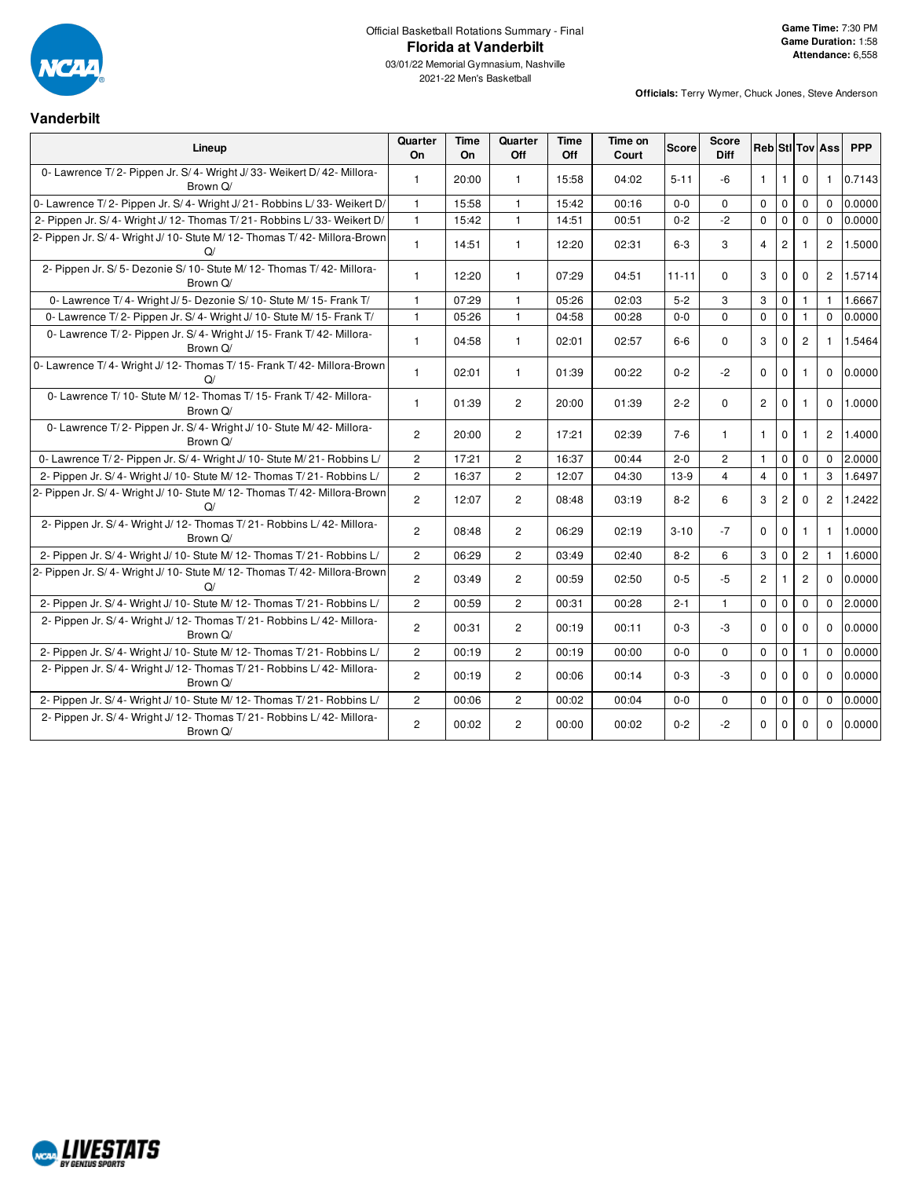

# Official Basketball Rotations Summary - Final **Florida at Vanderbilt**

03/01/22 Memorial Gymnasium, Nashville 2021-22 Men's Basketball

**Officials:** Terry Wymer, Chuck Jones, Steve Anderson

# **Vanderbilt**

| Lineup                                                                                 | Quarter<br>On  | Time<br>On | Quarter<br>Off | <b>Time</b><br>Off | Time on<br>Court | <b>Score</b> | <b>Score</b><br><b>Diff</b> |                      |                |                | <b>Reb</b> StI Tov Ass | <b>PPP</b> |
|----------------------------------------------------------------------------------------|----------------|------------|----------------|--------------------|------------------|--------------|-----------------------------|----------------------|----------------|----------------|------------------------|------------|
| 0- Lawrence T/2- Pippen Jr. S/4- Wright J/33- Weikert D/42- Millora-<br>Brown Q/       | $\mathbf{1}$   | 20:00      | 1.             | 15:58              | 04:02            | $5 - 11$     | -6                          | $\mathbf{1}$         | 1              | 0              | -1                     | 0.7143     |
| 0- Lawrence T/2- Pippen Jr. S/4- Wright J/21- Robbins L/33- Weikert D/                 | $\mathbf{1}$   | 15:58      | $\mathbf{1}$   | 15:42              | 00:16            | $0-0$        | 0                           | $\Omega$             | 0              | $\mathbf{0}$   | $\Omega$               | 0.0000     |
| 2- Pippen Jr. S/4- Wright J/12- Thomas T/21- Robbins L/33- Weikert D/                  | $\mathbf{1}$   | 15:42      | $\mathbf{1}$   | 14:51              | 00:51            | $0 - 2$      | $-2$                        | $\Omega$             | $\mathbf 0$    | $\mathbf 0$    | $\Omega$               | 0.0000     |
| 2- Pippen Jr. S/ 4- Wright J/ 10- Stute M/ 12- Thomas T/ 42- Millora-Brown<br>$\Omega$ | $\mathbf{1}$   | 14:51      | $\mathbf{1}$   | 12:20              | 02:31            | $6-3$        | 3                           | $\overline{4}$       | $\overline{2}$ | -1             | $\overline{2}$         | 1.5000     |
| 2- Pippen Jr. S/ 5- Dezonie S/ 10- Stute M/ 12- Thomas T/ 42- Millora-<br>Brown Q/     | $\mathbf{1}$   | 12:20      | 1              | 07:29              | 04:51            | $11 - 11$    | 0                           | 3                    | 0              | $\mathbf 0$    | $\overline{c}$         | 1.5714     |
| 0- Lawrence T/4- Wright J/5- Dezonie S/10- Stute M/15- Frank T/                        | $\mathbf{1}$   | 07:29      | $\mathbf{1}$   | 05:26              | 02:03            | $5-2$        | 3                           | 3                    | 0              | $\mathbf{1}$   | $\mathbf{1}$           | 1.6667     |
| 0- Lawrence T/2- Pippen Jr. S/4- Wright J/10- Stute M/15- Frank T/                     | $\mathbf{1}$   | 05:26      | $\mathbf{1}$   | 04:58              | 00:28            | $0 - 0$      | 0                           | $\mathbf 0$          | $\mathbf 0$    | $\mathbf{1}$   | $\Omega$               | 0.0000     |
| 0- Lawrence T/2- Pippen Jr. S/4- Wright J/15- Frank T/42- Millora-<br>Brown Q/         | $\mathbf{1}$   | 04:58      | $\mathbf{1}$   | 02:01              | 02:57            | $6-6$        | 0                           | 3                    | $\Omega$       | $\overline{2}$ | $\mathbf{1}$           | 1.5464     |
| 0- Lawrence T/4- Wright J/12- Thomas T/15- Frank T/42- Millora-Brown<br>$\Omega$       | $\mathbf{1}$   | 02:01      | 1              | 01:39              | 00:22            | $0 - 2$      | $-2$                        | $\Omega$             | 0              | $\mathbf{1}$   | $\Omega$               | 0.0000     |
| 0- Lawrence T/10- Stute M/12- Thomas T/15- Frank T/42- Millora-<br>Brown Q/            | $\mathbf{1}$   | 01:39      | $\mathbf{2}$   | 20:00              | 01:39            | $2 - 2$      | 0                           | $\mathbf{2}^{\circ}$ | 0              | $\mathbf{1}$   | $\Omega$               | 1.0000     |
| 0- Lawrence T/2- Pippen Jr. S/4- Wright J/10- Stute M/42- Millora-<br>Brown Q/         | $\overline{c}$ | 20:00      | $\overline{2}$ | 17:21              | 02:39            | $7-6$        | $\mathbf{1}$                | $\mathbf{1}$         | 0              | -1             | $\overline{c}$         | 1.4000     |
| 0- Lawrence T/2- Pippen Jr. S/4- Wright J/10- Stute M/21- Robbins L/                   | $\mathbf{2}$   | 17:21      | $\overline{c}$ | 16:37              | 00:44            | $2 - 0$      | $\overline{c}$              | $\overline{1}$       | $\mathbf 0$    | $\mathbf{0}$   | $\Omega$               | 2.0000     |
| 2- Pippen Jr. S/4- Wright J/10- Stute M/12- Thomas T/21- Robbins L/                    | $\overline{c}$ | 16:37      | 2              | 12:07              | 04:30            | $13-9$       | 4                           | $\overline{4}$       | $\mathbf 0$    |                | 3                      | 1.6497     |
| 2- Pippen Jr. S/4- Wright J/10- Stute M/12- Thomas T/42- Millora-Brown<br>Q/           | $\overline{2}$ | 12:07      | $\overline{2}$ | 08:48              | 03:19            | $8 - 2$      | 6                           | 3                    | 2              | $\Omega$       | $\overline{c}$         | 1.2422     |
| 2- Pippen Jr. S/4- Wright J/12- Thomas T/21- Robbins L/42- Millora-<br>Brown Q/        | $\overline{c}$ | 08:48      | 2              | 06:29              | 02:19            | $3 - 10$     | $-7$                        | $\Omega$             | $\Omega$       | $\mathbf{1}$   | $\mathbf{1}$           | 1.0000     |
| 2- Pippen Jr. S/4- Wright J/10- Stute M/12- Thomas T/21- Robbins L/                    | $\overline{2}$ | 06:29      | $\overline{2}$ | 03:49              | 02:40            | $8 - 2$      | 6                           | 3                    | $\mathbf 0$    | $\overline{2}$ | $\mathbf{1}$           | 1.6000     |
| 2- Pippen Jr. S/ 4- Wright J/ 10- Stute M/ 12- Thomas T/ 42- Millora-Brown<br>Q/       | $\overline{2}$ | 03:49      | $\overline{2}$ | 00:59              | 02:50            | $0 - 5$      | $-5$                        | $\overline{2}$       | 1              | 2              | $\Omega$               | 0.0000     |
| 2- Pippen Jr. S/4- Wright J/10- Stute M/12- Thomas T/21- Robbins L/                    | $\overline{2}$ | 00:59      | $\overline{2}$ | 00:31              | 00:28            | $2 - 1$      | $\mathbf{1}$                | $\mathbf 0$          | $\mathbf 0$    | $\mathbf{0}$   | $\mathbf 0$            | 2.0000     |
| 2- Pippen Jr. S/4- Wright J/12- Thomas T/21- Robbins L/42- Millora-<br>Brown Q/        | $\overline{2}$ | 00:31      | $\overline{2}$ | 00:19              | 00:11            | $0 - 3$      | -3                          | $\Omega$             | $\Omega$       | $\Omega$       | $\Omega$               | 0.0000     |
| 2- Pippen Jr. S/4- Wright J/10- Stute M/12- Thomas T/21- Robbins L/                    | $\overline{2}$ | 00:19      | $\overline{2}$ | 00:19              | 00:00            | $0-0$        | $\mathbf 0$                 | $\mathbf 0$          | $\pmb{0}$      | 1              | $\mathbf{0}$           | 0.0000     |
| 2- Pippen Jr. S/4- Wright J/12- Thomas T/21- Robbins L/42- Millora-<br>Brown Q/        | $\overline{2}$ | 00:19      | $\overline{2}$ | 00:06              | 00:14            | $0 - 3$      | -3                          | $\Omega$             | $\mathbf 0$    | $\mathbf 0$    | $\Omega$               | 0.0000     |
| 2- Pippen Jr. S/4- Wright J/10- Stute M/12- Thomas T/21- Robbins L/                    | $\overline{2}$ | 00:06      | $\overline{2}$ | 00:02              | 00:04            | $0 - 0$      | $\Omega$                    | $\mathbf 0$          | $\mathbf 0$    | $\mathbf 0$    | $\Omega$               | 0.0000     |
| 2- Pippen Jr. S/4- Wright J/12- Thomas T/21- Robbins L/42- Millora-<br>Brown Q/        | $\mathbf{2}$   | 00:02      | $\overline{c}$ | 00:00              | 00:02            | $0 - 2$      | $-2$                        | $\mathbf 0$          | $\mathbf 0$    | $\mathbf 0$    | $\mathbf{0}$           | 0.0000     |

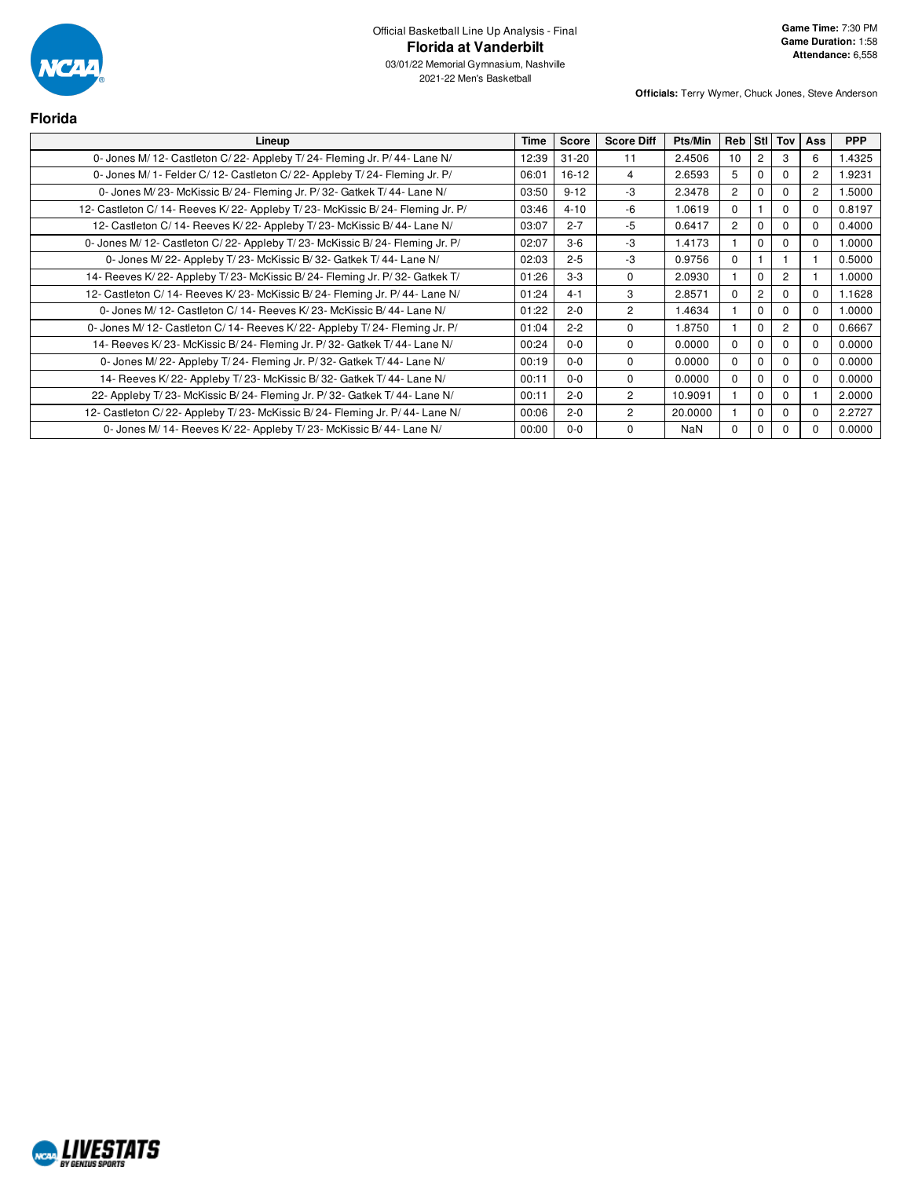

03/01/22 Memorial Gymnasium, Nashville 2021-22 Men's Basketball

| <b>Florida</b>                                                                 |             |              |                   |         |                |            |                |                |            |
|--------------------------------------------------------------------------------|-------------|--------------|-------------------|---------|----------------|------------|----------------|----------------|------------|
| Lineup                                                                         | <b>Time</b> | <b>Score</b> | <b>Score Diff</b> | Pts/Min | Reb            | <b>StI</b> | <b>Tov</b>     | <b>Ass</b>     | <b>PPP</b> |
| 0- Jones M/ 12- Castleton C/ 22- Appleby T/ 24- Fleming Jr. P/ 44- Lane N/     | 12:39       | $31 - 20$    | 11                | 2.4506  | 10             | 2          | 3              | 6              | 1.4325     |
| 0- Jones M/ 1- Felder C/ 12- Castleton C/ 22- Appleby T/ 24- Fleming Jr. P/    | 06:01       | $16-12$      | 4                 | 2.6593  | 5              | 0          | 0              | 2              | 1.9231     |
| 0- Jones M/23- McKissic B/24- Fleming Jr. P/32- Gatkek T/44- Lane N/           | 03:50       | $9 - 12$     | -3                | 2.3478  | $\overline{2}$ | 0          | $\Omega$       | $\overline{2}$ | 1.5000     |
| 12- Castleton C/14- Reeves K/22- Appleby T/23- McKissic B/24- Fleming Jr. P/   | 03:46       | $4 - 10$     | -6                | 1.0619  | $\Omega$       |            | $\Omega$       | 0              | 0.8197     |
| 12- Castleton C/ 14- Reeves K/ 22- Appleby T/ 23- McKissic B/ 44- Lane N/      | 03:07       | $2 - 7$      | -5                | 0.6417  | $\overline{2}$ | $\Omega$   | $\Omega$       | 0              | 0.4000     |
| 0- Jones M/ 12- Castleton C/ 22- Appleby T/ 23- McKissic B/ 24- Fleming Jr. P/ | 02:07       | $3-6$        | -3                | 1.4173  |                | 0          | 0              | 0              | 1.0000     |
| 0- Jones M/22- Appleby T/23- McKissic B/32- Gatkek T/44- Lane N/               | 02:03       | $2 - 5$      | -3                | 0.9756  | $\Omega$       |            |                |                | 0.5000     |
| 14- Reeves K/22- Appleby T/23- McKissic B/24- Fleming Jr. P/32- Gatkek T/      | 01:26       | $3 - 3$      | 0                 | 2.0930  |                | $\Omega$   | $\overline{2}$ |                | 1.0000     |
| 12- Castleton C/ 14- Reeves K/ 23- McKissic B/ 24- Fleming Jr. P/ 44- Lane N/  | 01:24       | $4 - 1$      | 3                 | 2.8571  | 0              | 2          | 0              | 0              | 1.1628     |
| 0- Jones M/ 12- Castleton C/ 14- Reeves K/ 23- McKissic B/ 44- Lane N/         | 01:22       | $2 - 0$      | $\overline{2}$    | 1.4634  |                | 0          | $\Omega$       | $\Omega$       | 1.0000     |
| 0- Jones M/ 12- Castleton C/ 14- Reeves K/ 22- Appleby T/ 24- Fleming Jr. P/   | 01:04       | $2 - 2$      | $\Omega$          | 1.8750  |                | 0          | $\overline{2}$ |                | 0.6667     |
| 14- Reeves K/ 23- McKissic B/ 24- Fleming Jr. P/ 32- Gatkek T/ 44- Lane N/     | 00:24       | $0 - 0$      | $\Omega$          | 0.0000  | 0              | 0          | $\Omega$       | <sup>0</sup>   | 0.0000     |
| 0- Jones M/22- Appleby T/24- Fleming Jr. P/32- Gatkek T/44- Lane N/            | 00:19       | $0 - 0$      | $\Omega$          | 0.0000  | $\Omega$       | $\Omega$   | $\Omega$       | <sup>0</sup>   | 0.0000     |
| 14- Reeves K/22- Appleby T/23- McKissic B/32- Gatkek T/44- Lane N/             | 00:11       | $0 - 0$      | $\Omega$          | 0.0000  | 0              | 0          | $\Omega$       | 0              | 0.0000     |
| 22- Appleby T/23- McKissic B/24- Fleming Jr. P/32- Gatkek T/44- Lane N/        | 00:11       | $2 - 0$      | $\overline{2}$    | 10.9091 |                | 0          | $\Omega$       |                | 2.0000     |
| 12- Castleton C/22- Appleby T/23- McKissic B/24- Fleming Jr. P/44- Lane N/     | 00:06       | $2 - 0$      | $\overline{2}$    | 20,0000 |                | 0          | $\Omega$       | <sup>0</sup>   | 2.2727     |
| 0- Jones M/ 14- Reeves K/ 22- Appleby T/ 23- McKissic B/ 44- Lane N/           | 00:00       | $0 - 0$      | $\Omega$          | NaN     | 0              | 0          | $\Omega$       |                | 0.0000     |